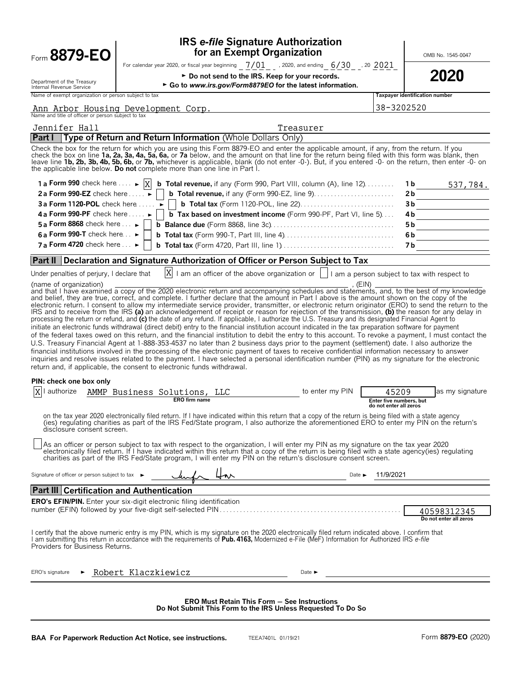| Form 8879-EO                                                                                                                                                                                                              |                       |                                                           | for an Exempt Organization                                 | <b>IRS e-file Signature Authorization</b>                                                                                                                                                                                                                                                                                                                                                                                                                                                                                                                                                                                                                                                                                                                                                                                                                                                                                                                                                                                                                                                                                                                                                                                                                                                                                                                                                                                                                                                                                                                                                                                                                                                                                                                                                                                                                                                                                                                                                                                                                                                                                                                                                                                                                                                                                                                                 |                                                            |                                       | OMB No. 1545-0047                     |
|---------------------------------------------------------------------------------------------------------------------------------------------------------------------------------------------------------------------------|-----------------------|-----------------------------------------------------------|------------------------------------------------------------|---------------------------------------------------------------------------------------------------------------------------------------------------------------------------------------------------------------------------------------------------------------------------------------------------------------------------------------------------------------------------------------------------------------------------------------------------------------------------------------------------------------------------------------------------------------------------------------------------------------------------------------------------------------------------------------------------------------------------------------------------------------------------------------------------------------------------------------------------------------------------------------------------------------------------------------------------------------------------------------------------------------------------------------------------------------------------------------------------------------------------------------------------------------------------------------------------------------------------------------------------------------------------------------------------------------------------------------------------------------------------------------------------------------------------------------------------------------------------------------------------------------------------------------------------------------------------------------------------------------------------------------------------------------------------------------------------------------------------------------------------------------------------------------------------------------------------------------------------------------------------------------------------------------------------------------------------------------------------------------------------------------------------------------------------------------------------------------------------------------------------------------------------------------------------------------------------------------------------------------------------------------------------------------------------------------------------------------------------------------------------|------------------------------------------------------------|---------------------------------------|---------------------------------------|
| Department of the Treasury<br>Internal Revenue Service                                                                                                                                                                    |                       |                                                           |                                                            | For calendar year 2020, or fiscal year beginning $7/01$ , 2020, and ending $6/30$ , $30/2021$<br>► Do not send to the IRS. Keep for your records.<br>Go to www.irs.gov/Form8879EO for the latest information.                                                                                                                                                                                                                                                                                                                                                                                                                                                                                                                                                                                                                                                                                                                                                                                                                                                                                                                                                                                                                                                                                                                                                                                                                                                                                                                                                                                                                                                                                                                                                                                                                                                                                                                                                                                                                                                                                                                                                                                                                                                                                                                                                             |                                                            |                                       | 2020                                  |
| Name of exempt organization or person subject to tax                                                                                                                                                                      |                       |                                                           |                                                            |                                                                                                                                                                                                                                                                                                                                                                                                                                                                                                                                                                                                                                                                                                                                                                                                                                                                                                                                                                                                                                                                                                                                                                                                                                                                                                                                                                                                                                                                                                                                                                                                                                                                                                                                                                                                                                                                                                                                                                                                                                                                                                                                                                                                                                                                                                                                                                           |                                                            | <b>Taxpayer identification number</b> |                                       |
| Name and title of officer or person subject to tax                                                                                                                                                                        |                       | Ann Arbor Housing Development Corp.                       |                                                            |                                                                                                                                                                                                                                                                                                                                                                                                                                                                                                                                                                                                                                                                                                                                                                                                                                                                                                                                                                                                                                                                                                                                                                                                                                                                                                                                                                                                                                                                                                                                                                                                                                                                                                                                                                                                                                                                                                                                                                                                                                                                                                                                                                                                                                                                                                                                                                           | 38-3202520                                                 |                                       |                                       |
| Jennifer Hall                                                                                                                                                                                                             |                       |                                                           |                                                            | Treasurer                                                                                                                                                                                                                                                                                                                                                                                                                                                                                                                                                                                                                                                                                                                                                                                                                                                                                                                                                                                                                                                                                                                                                                                                                                                                                                                                                                                                                                                                                                                                                                                                                                                                                                                                                                                                                                                                                                                                                                                                                                                                                                                                                                                                                                                                                                                                                                 |                                                            |                                       |                                       |
| <b>Part I</b>                                                                                                                                                                                                             |                       |                                                           | Type of Return and Return Information (Whole Dollars Only) |                                                                                                                                                                                                                                                                                                                                                                                                                                                                                                                                                                                                                                                                                                                                                                                                                                                                                                                                                                                                                                                                                                                                                                                                                                                                                                                                                                                                                                                                                                                                                                                                                                                                                                                                                                                                                                                                                                                                                                                                                                                                                                                                                                                                                                                                                                                                                                           |                                                            |                                       |                                       |
| the applicable line below. Do not complete more than one line in Part I.                                                                                                                                                  |                       |                                                           |                                                            | Check the box for the return for which you are using this Form 8879-EO and enter the applicable amount, if any, from the return. If you<br>check the box on line 1a, 2a, 3a, 4a, 5a, 6a, or 7a below, and the amount on that line for the return being filed with this form was blank, then<br>leave line 1b, 2b, 3b, 4b, 5b, 6b, or 7b, whichever is applicable, blank (do not enter -0-). But, if you entered -0- on the return, then enter -0- on                                                                                                                                                                                                                                                                                                                                                                                                                                                                                                                                                                                                                                                                                                                                                                                                                                                                                                                                                                                                                                                                                                                                                                                                                                                                                                                                                                                                                                                                                                                                                                                                                                                                                                                                                                                                                                                                                                                      |                                                            |                                       |                                       |
| 1 a Form 990 check here $\dots$ $\triangleright$ $ X $                                                                                                                                                                    |                       |                                                           |                                                            | <b>b</b> Total revenue, if any (Form 990, Part VIII, column (A), line $12$ )                                                                                                                                                                                                                                                                                                                                                                                                                                                                                                                                                                                                                                                                                                                                                                                                                                                                                                                                                                                                                                                                                                                                                                                                                                                                                                                                                                                                                                                                                                                                                                                                                                                                                                                                                                                                                                                                                                                                                                                                                                                                                                                                                                                                                                                                                              |                                                            | 1b.                                   | 537,784.                              |
| 2a Form 990-EZ check here $\dots$                                                                                                                                                                                         |                       |                                                           |                                                            |                                                                                                                                                                                                                                                                                                                                                                                                                                                                                                                                                                                                                                                                                                                                                                                                                                                                                                                                                                                                                                                                                                                                                                                                                                                                                                                                                                                                                                                                                                                                                                                                                                                                                                                                                                                                                                                                                                                                                                                                                                                                                                                                                                                                                                                                                                                                                                           |                                                            | 2 <sub>b</sub>                        |                                       |
| <b>3a Form 1120-POL</b> check here                                                                                                                                                                                        |                       |                                                           |                                                            |                                                                                                                                                                                                                                                                                                                                                                                                                                                                                                                                                                                                                                                                                                                                                                                                                                                                                                                                                                                                                                                                                                                                                                                                                                                                                                                                                                                                                                                                                                                                                                                                                                                                                                                                                                                                                                                                                                                                                                                                                                                                                                                                                                                                                                                                                                                                                                           |                                                            | Зb                                    |                                       |
| <b>4a Form 990-PF</b> check here $\dots$                                                                                                                                                                                  |                       |                                                           |                                                            | <b>b</b> Tax based on investment income (Form 990-PF, Part VI, line 5)                                                                                                                                                                                                                                                                                                                                                                                                                                                                                                                                                                                                                                                                                                                                                                                                                                                                                                                                                                                                                                                                                                                                                                                                                                                                                                                                                                                                                                                                                                                                                                                                                                                                                                                                                                                                                                                                                                                                                                                                                                                                                                                                                                                                                                                                                                    |                                                            | 4b                                    |                                       |
| 5 a Form 8868 check here $\ldots$                                                                                                                                                                                         |                       |                                                           |                                                            |                                                                                                                                                                                                                                                                                                                                                                                                                                                                                                                                                                                                                                                                                                                                                                                                                                                                                                                                                                                                                                                                                                                                                                                                                                                                                                                                                                                                                                                                                                                                                                                                                                                                                                                                                                                                                                                                                                                                                                                                                                                                                                                                                                                                                                                                                                                                                                           |                                                            | 5 b                                   |                                       |
| 6 a Form 990-T check here $\ldots$                                                                                                                                                                                        |                       |                                                           |                                                            |                                                                                                                                                                                                                                                                                                                                                                                                                                                                                                                                                                                                                                                                                                                                                                                                                                                                                                                                                                                                                                                                                                                                                                                                                                                                                                                                                                                                                                                                                                                                                                                                                                                                                                                                                                                                                                                                                                                                                                                                                                                                                                                                                                                                                                                                                                                                                                           |                                                            | 6b                                    |                                       |
| 7 a Form 4720 check here $\ldots$                                                                                                                                                                                         |                       |                                                           |                                                            |                                                                                                                                                                                                                                                                                                                                                                                                                                                                                                                                                                                                                                                                                                                                                                                                                                                                                                                                                                                                                                                                                                                                                                                                                                                                                                                                                                                                                                                                                                                                                                                                                                                                                                                                                                                                                                                                                                                                                                                                                                                                                                                                                                                                                                                                                                                                                                           |                                                            | 7 b                                   |                                       |
| <b>Part II</b>                                                                                                                                                                                                            |                       |                                                           |                                                            | Declaration and Signature Authorization of Officer or Person Subject to Tax                                                                                                                                                                                                                                                                                                                                                                                                                                                                                                                                                                                                                                                                                                                                                                                                                                                                                                                                                                                                                                                                                                                                                                                                                                                                                                                                                                                                                                                                                                                                                                                                                                                                                                                                                                                                                                                                                                                                                                                                                                                                                                                                                                                                                                                                                               |                                                            |                                       |                                       |
| Under penalties of perjury, I declare that<br>(name of organization)<br>return and, if applicable, the consent to electronic funds withdrawal.<br>PIN: check one box only<br>X<br>authorize<br>disclosure consent screen. |                       | X<br>AMMP Business Solutions, LLC<br><b>ERO</b> firm name |                                                            | I am an officer of the above organization or     I am a person subject to tax with respect to<br>. (EIN)<br>and that I have examined a copy of the 2020 electronic return and accompanying schedules and statements, and, to the best of my knowledge<br>and belief, they are true, correct, and complete. I further declare that the amount in Part I above is the amount shown on the copy of the<br>electronic return. I consent to allow my intermediate service provider, transmitter, or electronic return originator (ERO) to send the return to the<br>IRS and to receive from the IRS (a) an acknowledgement of receipt or reason for rejection of the transmission, (b) the reason for any delay in<br>processing the return or refund, and (c) the date of any refund. If applicable, I authorize the U.S. Treasury and its designated Financial Agent to<br>initiate an electronic funds withdrawal (direct debit) entry to the financial institution account indicated in the tax preparation software for payment<br>of the federal taxes owed on this return, and the financial institution to debit the entry to this account. To revoke a payment, I must contact the<br>U.S. Treasury Financial Agent at 1-888-353-4537 no later than 2 business days prior to the payment (settlement) date. I also authorize the<br>financial institutions involved in the processing of the electronic payment of taxes to receive confidential information necessary to answer<br>inquiries and resolve issues related to the payment. I have selected a personal identification number (PIN) as my signature for the electronic<br>to enter my PIN<br>on the tax year 2020 electronically filed return. If I have indicated within this return that a copy of the return is being filed with a state agency<br>(ies) regulating charities as part of the IRS Fed/State program, I also authorize the aforementioned ERO to enter my PIN on the return's<br>As an officer or person subject to tax with respect to the organization, I will enter my PIN as my signature on the tax year 2020<br>electronically filed return. If I have indicated within this return that a copy of the return is being filed with a state agency(ies) regulating<br>charities as part of the IRS Fed/State program, I will enter my PIN on the return's disclosure consent screen. | 45209<br>Enter five numbers, but<br>do not enter all zeros |                                       | as my signature                       |
| Signature of officer or person subject to tax ►                                                                                                                                                                           |                       |                                                           | $4\pi$                                                     |                                                                                                                                                                                                                                                                                                                                                                                                                                                                                                                                                                                                                                                                                                                                                                                                                                                                                                                                                                                                                                                                                                                                                                                                                                                                                                                                                                                                                                                                                                                                                                                                                                                                                                                                                                                                                                                                                                                                                                                                                                                                                                                                                                                                                                                                                                                                                                           | 11/9/2021                                                  |                                       |                                       |
|                                                                                                                                                                                                                           |                       |                                                           |                                                            | $\overline{\phantom{a}}$ Date $\overline{\phantom{a}}$                                                                                                                                                                                                                                                                                                                                                                                                                                                                                                                                                                                                                                                                                                                                                                                                                                                                                                                                                                                                                                                                                                                                                                                                                                                                                                                                                                                                                                                                                                                                                                                                                                                                                                                                                                                                                                                                                                                                                                                                                                                                                                                                                                                                                                                                                                                    |                                                            |                                       |                                       |
| <b>Part III Certification and Authentication</b>                                                                                                                                                                          |                       |                                                           |                                                            |                                                                                                                                                                                                                                                                                                                                                                                                                                                                                                                                                                                                                                                                                                                                                                                                                                                                                                                                                                                                                                                                                                                                                                                                                                                                                                                                                                                                                                                                                                                                                                                                                                                                                                                                                                                                                                                                                                                                                                                                                                                                                                                                                                                                                                                                                                                                                                           |                                                            |                                       |                                       |
| <b>ERO's EFIN/PIN.</b> Enter your six-digit electronic filing identification                                                                                                                                              |                       |                                                           |                                                            |                                                                                                                                                                                                                                                                                                                                                                                                                                                                                                                                                                                                                                                                                                                                                                                                                                                                                                                                                                                                                                                                                                                                                                                                                                                                                                                                                                                                                                                                                                                                                                                                                                                                                                                                                                                                                                                                                                                                                                                                                                                                                                                                                                                                                                                                                                                                                                           |                                                            |                                       | 40598312345<br>Do not enter all zeros |
| Providers for Business Returns.                                                                                                                                                                                           |                       |                                                           |                                                            | I certify that the above numeric entry is my PIN, which is my signature on the 2020 electronically filed return indicated above. I confirm that<br>I am submitting this return in accordance with the requirements of Pub. 4163, Modernized e-File (MeF) Information for Authorized IRS e-file                                                                                                                                                                                                                                                                                                                                                                                                                                                                                                                                                                                                                                                                                                                                                                                                                                                                                                                                                                                                                                                                                                                                                                                                                                                                                                                                                                                                                                                                                                                                                                                                                                                                                                                                                                                                                                                                                                                                                                                                                                                                            |                                                            |                                       |                                       |
| ERO's signature                                                                                                                                                                                                           | ► Robert Klaczkiewicz |                                                           |                                                            | Date $\blacktriangleright$                                                                                                                                                                                                                                                                                                                                                                                                                                                                                                                                                                                                                                                                                                                                                                                                                                                                                                                                                                                                                                                                                                                                                                                                                                                                                                                                                                                                                                                                                                                                                                                                                                                                                                                                                                                                                                                                                                                                                                                                                                                                                                                                                                                                                                                                                                                                                |                                                            |                                       |                                       |
|                                                                                                                                                                                                                           |                       |                                                           |                                                            |                                                                                                                                                                                                                                                                                                                                                                                                                                                                                                                                                                                                                                                                                                                                                                                                                                                                                                                                                                                                                                                                                                                                                                                                                                                                                                                                                                                                                                                                                                                                                                                                                                                                                                                                                                                                                                                                                                                                                                                                                                                                                                                                                                                                                                                                                                                                                                           |                                                            |                                       |                                       |
|                                                                                                                                                                                                                           |                       |                                                           |                                                            | <b>ERO Must Retain This Form - See Instructions</b>                                                                                                                                                                                                                                                                                                                                                                                                                                                                                                                                                                                                                                                                                                                                                                                                                                                                                                                                                                                                                                                                                                                                                                                                                                                                                                                                                                                                                                                                                                                                                                                                                                                                                                                                                                                                                                                                                                                                                                                                                                                                                                                                                                                                                                                                                                                       |                                                            |                                       |                                       |

**Do Not Submit This Form to the IRS Unless Requested To Do So**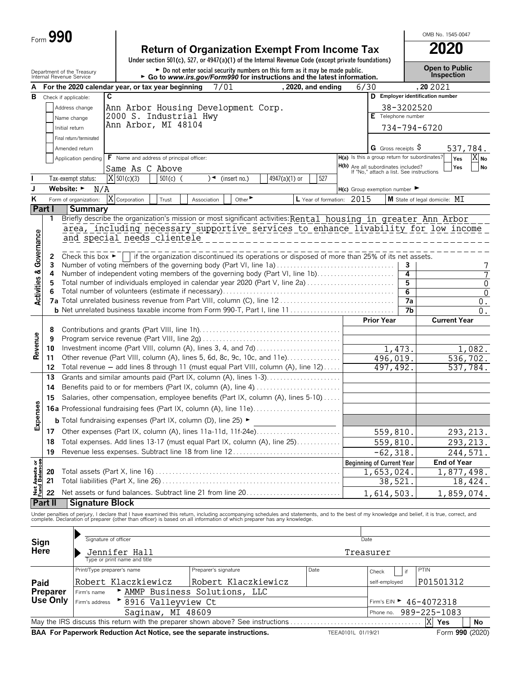| ⊦orm <b>ਹ</b> | 990 |  |
|---------------|-----|--|
|               |     |  |

|                                        | Form 990 |                                                                                          |                                               |            |             |                    |                                     |                                                                                                                                                                                                                                   |                                                                                      |              | OMB No. 1545-0047                          |                      |                       |
|----------------------------------------|----------|------------------------------------------------------------------------------------------|-----------------------------------------------|------------|-------------|--------------------|-------------------------------------|-----------------------------------------------------------------------------------------------------------------------------------------------------------------------------------------------------------------------------------|--------------------------------------------------------------------------------------|--------------|--------------------------------------------|----------------------|-----------------------|
|                                        |          |                                                                                          |                                               |            |             |                    |                                     | <b>Return of Organization Exempt From Income Tax</b>                                                                                                                                                                              |                                                                                      |              | 2020                                       |                      |                       |
|                                        |          |                                                                                          |                                               |            |             |                    |                                     | Under section 501(c), 527, or 4947(a)(1) of the Internal Revenue Code (except private foundations)                                                                                                                                |                                                                                      |              |                                            |                      |                       |
|                                        |          | Department of the Treasury<br>Internal Revenue Service                                   |                                               |            |             |                    |                                     | Do not enter social security numbers on this form as it may be made public.<br>Go to www.irs.gov/Form990 for instructions and the latest information.                                                                             |                                                                                      |              | <b>Open to Public</b><br><b>Inspection</b> |                      |                       |
| А                                      |          | For the 2020 calendar year, or tax year beginning                                        |                                               |            |             | 7/01               |                                     | , 2020, and ending                                                                                                                                                                                                                | 6/30                                                                                 |              | , 20 20 21                                 |                      |                       |
| в                                      |          | Check if applicable:                                                                     | C                                             |            |             |                    |                                     |                                                                                                                                                                                                                                   |                                                                                      |              | D Employer identification number           |                      |                       |
|                                        |          | Address change                                                                           |                                               |            |             |                    | Ann Arbor Housing Development Corp. |                                                                                                                                                                                                                                   |                                                                                      | 38-3202520   |                                            |                      |                       |
|                                        |          | Name change                                                                              | 2000 S. Industrial Hwy                        |            |             |                    |                                     |                                                                                                                                                                                                                                   | E Telephone number                                                                   |              |                                            |                      |                       |
|                                        |          | Initial return                                                                           | Ann Arbor, MI 48104                           |            |             |                    |                                     |                                                                                                                                                                                                                                   |                                                                                      | 734-794-6720 |                                            |                      |                       |
|                                        |          | Final return/terminated                                                                  |                                               |            |             |                    |                                     |                                                                                                                                                                                                                                   |                                                                                      |              |                                            |                      |                       |
|                                        |          | Amended return                                                                           |                                               |            |             |                    |                                     |                                                                                                                                                                                                                                   | G Gross receipts S                                                                   |              |                                            | 537,784.             |                       |
|                                        |          | Application pending                                                                      | F Name and address of principal officer:      |            |             |                    |                                     |                                                                                                                                                                                                                                   | H(a) Is this a group return for subordinates?<br>H(b) Are all subordinates included? |              |                                            | Yes<br>Yes           | $X_{N0}$<br><b>No</b> |
|                                        |          | Tax-exempt status:                                                                       | Same As C Above<br>$X$ 501(c)(3)              | $501(c)$ ( |             | )◄<br>(insert no.) | 4947(a)(1) or                       | 527                                                                                                                                                                                                                               | If "No," attach a list. See instructions                                             |              |                                            |                      |                       |
| J                                      |          | Website: ►<br>N/A                                                                        |                                               |            |             |                    |                                     |                                                                                                                                                                                                                                   | $H(c)$ Group exemption number $\blacktriangleright$                                  |              |                                            |                      |                       |
| Κ                                      |          | Form of organization:                                                                    | X Corporation                                 | Trust      | Association |                    | Other $\blacktriangleright$         | L Year of formation: 2015                                                                                                                                                                                                         |                                                                                      |              | M State of legal domicile: MI              |                      |                       |
|                                        | Part I   | <b>Summary</b>                                                                           |                                               |            |             |                    |                                     |                                                                                                                                                                                                                                   |                                                                                      |              |                                            |                      |                       |
|                                        | 1        |                                                                                          |                                               |            |             |                    |                                     | Briefly describe the organization's mission or most significant activities: Rental housing in greater Ann Arbor                                                                                                                   |                                                                                      |              |                                            |                      |                       |
|                                        |          |                                                                                          |                                               |            |             |                    |                                     | area, including necessary supportive services to enhance livability for low income                                                                                                                                                |                                                                                      |              |                                            |                      |                       |
|                                        |          |                                                                                          | and special needs clientele                   |            |             |                    |                                     |                                                                                                                                                                                                                                   |                                                                                      |              |                                            |                      |                       |
|                                        |          |                                                                                          |                                               |            |             |                    |                                     | Check this box <b>F</b> if the organization discontinued its operations or disposed of more than 25% of its net assets.                                                                                                           |                                                                                      |              |                                            |                      |                       |
|                                        | 2<br>3   |                                                                                          |                                               |            |             |                    |                                     | Number of voting members of the governing body (Part VI, line 1a)                                                                                                                                                                 |                                                                                      | 3            |                                            |                      | 7                     |
|                                        | 4        |                                                                                          |                                               |            |             |                    |                                     | Number of independent voting members of the governing body (Part VI, line 1b)                                                                                                                                                     |                                                                                      | 4            |                                            |                      | 7                     |
|                                        | 5        |                                                                                          |                                               |            |             |                    |                                     | Total number of individuals employed in calendar year 2020 (Part V, line 2a)                                                                                                                                                      |                                                                                      | 5            |                                            |                      | $\mathbf 0$           |
| <b>Activities &amp; Governance</b>     | 6        |                                                                                          |                                               |            |             |                    |                                     |                                                                                                                                                                                                                                   |                                                                                      | 6<br>7a      |                                            |                      | $\mathbf{0}$          |
|                                        |          |                                                                                          |                                               |            |             |                    |                                     |                                                                                                                                                                                                                                   |                                                                                      | 7b           |                                            |                      | $0$ .<br>0.           |
|                                        |          |                                                                                          |                                               |            |             |                    |                                     |                                                                                                                                                                                                                                   | <b>Prior Year</b>                                                                    |              |                                            | <b>Current Year</b>  |                       |
|                                        | 8        |                                                                                          |                                               |            |             |                    |                                     |                                                                                                                                                                                                                                   |                                                                                      |              |                                            |                      |                       |
|                                        | 9        |                                                                                          |                                               |            |             |                    |                                     |                                                                                                                                                                                                                                   |                                                                                      |              |                                            |                      |                       |
| Revenue                                | 10       |                                                                                          |                                               |            |             |                    |                                     |                                                                                                                                                                                                                                   |                                                                                      | 1,473.       |                                            |                      | 1,082.                |
|                                        | 11<br>12 |                                                                                          |                                               |            |             |                    |                                     | Other revenue (Part VIII, column (A), lines 5, 6d, 8c, 9c, 10c, and 11e)<br>Total revenue - add lines 8 through 11 (must equal Part VIII, column (A), line 12)                                                                    | 496,019.<br>497, 492.                                                                |              |                                            | 536,702.<br>537,784. |                       |
|                                        | 13       |                                                                                          |                                               |            |             |                    |                                     | Grants and similar amounts paid (Part IX, column (A), lines 1-3)                                                                                                                                                                  |                                                                                      |              |                                            |                      |                       |
|                                        | 14       |                                                                                          |                                               |            |             |                    |                                     |                                                                                                                                                                                                                                   |                                                                                      |              |                                            |                      |                       |
|                                        | 15       |                                                                                          |                                               |            |             |                    |                                     | Salaries, other compensation, employee benefits (Part IX, column (A), lines 5-10)                                                                                                                                                 |                                                                                      |              |                                            |                      |                       |
| s,                                     |          |                                                                                          |                                               |            |             |                    |                                     | 16a Professional fundraising fees (Part IX, column (A), line 11e)                                                                                                                                                                 |                                                                                      |              |                                            |                      |                       |
| Expense                                |          | <b>b</b> Total fundraising expenses (Part IX, column (D), line 25) $\blacktriangleright$ |                                               |            |             |                    |                                     |                                                                                                                                                                                                                                   |                                                                                      |              |                                            |                      |                       |
|                                        | 17       |                                                                                          |                                               |            |             |                    |                                     | Other expenses (Part IX, column (A), lines 11a-11d, 11f-24e)                                                                                                                                                                      | 559,810.                                                                             |              |                                            | 293, 213.            |                       |
|                                        | 18       |                                                                                          |                                               |            |             |                    |                                     | Total expenses. Add lines 13-17 (must equal Part IX, column (A), line 25)                                                                                                                                                         | 559,810                                                                              |              |                                            | 293, 213.            |                       |
|                                        | 19       |                                                                                          |                                               |            |             |                    |                                     | Revenue less expenses. Subtract line 18 from line 12                                                                                                                                                                              | $-62,318$                                                                            |              |                                            | 244,571.             |                       |
|                                        |          |                                                                                          |                                               |            |             |                    |                                     |                                                                                                                                                                                                                                   | <b>Beginning of Current Year</b>                                                     |              |                                            | <b>End of Year</b>   |                       |
|                                        | 20       |                                                                                          |                                               |            |             |                    |                                     |                                                                                                                                                                                                                                   | 1,653,024.                                                                           |              |                                            | 1,877,498.           |                       |
| <b>Net Assets or<br/>Fund Balances</b> | 21       |                                                                                          |                                               |            |             |                    |                                     |                                                                                                                                                                                                                                   | 38,521.                                                                              |              |                                            | 18,424.              |                       |
|                                        | 22       |                                                                                          |                                               |            |             |                    |                                     | Net assets or fund balances. Subtract line 21 from line 20                                                                                                                                                                        | 1,614,503.                                                                           |              |                                            | 1,859,074.           |                       |
|                                        | Part II  | <b>Signature Block</b>                                                                   |                                               |            |             |                    |                                     |                                                                                                                                                                                                                                   |                                                                                      |              |                                            |                      |                       |
|                                        |          |                                                                                          |                                               |            |             |                    |                                     | Under penalties of perjury, I declare that I have examined this return, including accompanying schedules and statements, and to the best of my knowledge and belief, it is true, correct, and<br>complete. Declaration of prepare |                                                                                      |              |                                            |                      |                       |
|                                        |          |                                                                                          |                                               |            |             |                    |                                     |                                                                                                                                                                                                                                   |                                                                                      |              |                                            |                      |                       |
| Sign                                   |          |                                                                                          | Signature of officer                          |            |             |                    |                                     |                                                                                                                                                                                                                                   |                                                                                      |              |                                            |                      |                       |
|                                        |          |                                                                                          |                                               |            |             |                    |                                     |                                                                                                                                                                                                                                   | Date                                                                                 |              |                                            |                      |                       |
|                                        | Here     |                                                                                          | Jennifer Hall<br>Type or print name and title |            |             |                    |                                     |                                                                                                                                                                                                                                   | Treasurer                                                                            |              |                                            |                      |                       |

|                                                                                                                                     | Print/Type preparer's name                        | Preparer's signature                   | Date | if<br>Check   | <b>PTIN</b> |  |  |  |  |  |
|-------------------------------------------------------------------------------------------------------------------------------------|---------------------------------------------------|----------------------------------------|------|---------------|-------------|--|--|--|--|--|
| Paid                                                                                                                                | Robert Klaczkiewicz                               | Robert Klaczkiewicz                    |      | self-employed | P01501312   |  |  |  |  |  |
| Preparer                                                                                                                            | AMMP Business Solutions, LLC<br>Firm's name       |                                        |      |               |             |  |  |  |  |  |
|                                                                                                                                     | Use Only Firm's address '<br>▶ 8916 Valleyview Ct | Firm's EIN $\triangleright$ 46-4072318 |      |               |             |  |  |  |  |  |
|                                                                                                                                     | Saginaw, MI 48609                                 | Phone no. 989-225-1083                 |      |               |             |  |  |  |  |  |
| X Yes<br>May the IRS discuss this return with the preparer shown above? See instructions<br>No                                      |                                                   |                                        |      |               |             |  |  |  |  |  |
| $F_{\alpha r}$ 000 $(2020)$<br><b>RAA</b> For Panonuork Poduction Act Notice, see the conarate instructions<br>TPTTAA1AA1A1A1AA1A1A |                                                   |                                        |      |               |             |  |  |  |  |  |

**BAR FOR A FOR A FOR A FORM REDUCTS A FORM REDUCTS A FORM REDUCTS AND RELA0101L 01/19/21** Form **990** (2020)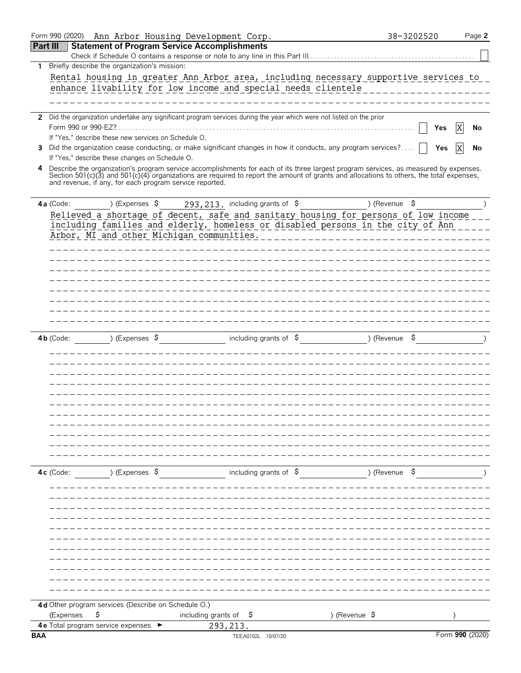|                 | Form 990 (2020)      |                                                         | Ann Arbor Housing Development Corp.                                                                                                                                                                                                                                              |               | 38-3202520               | Page 2          |
|-----------------|----------------------|---------------------------------------------------------|----------------------------------------------------------------------------------------------------------------------------------------------------------------------------------------------------------------------------------------------------------------------------------|---------------|--------------------------|-----------------|
| <b>Part III</b> |                      |                                                         | <b>Statement of Program Service Accomplishments</b>                                                                                                                                                                                                                              |               |                          |                 |
|                 |                      |                                                         |                                                                                                                                                                                                                                                                                  |               |                          |                 |
| $\mathbf{1}$    |                      | Briefly describe the organization's mission:            |                                                                                                                                                                                                                                                                                  |               |                          |                 |
|                 |                      |                                                         | Rental housing in greater Ann Arbor area, including necessary supportive services to                                                                                                                                                                                             |               |                          |                 |
|                 |                      |                                                         | enhance livability for low income and special needs clientele                                                                                                                                                                                                                    |               |                          |                 |
|                 |                      |                                                         |                                                                                                                                                                                                                                                                                  |               |                          |                 |
|                 |                      |                                                         |                                                                                                                                                                                                                                                                                  |               |                          |                 |
|                 |                      |                                                         | 2 Did the organization undertake any significant program services during the year which were not listed on the prior                                                                                                                                                             |               |                          |                 |
|                 | Form 990 or 990-EZ?. |                                                         |                                                                                                                                                                                                                                                                                  |               |                          | Yes<br>No       |
|                 |                      | If "Yes," describe these new services on Schedule O.    |                                                                                                                                                                                                                                                                                  |               |                          |                 |
| 3               |                      |                                                         | Did the organization cease conducting, or make significant changes in how it conducts, any program services?                                                                                                                                                                     |               |                          | Yes<br>No       |
|                 |                      | If "Yes," describe these changes on Schedule O.         |                                                                                                                                                                                                                                                                                  |               |                          |                 |
| 4               |                      | and revenue, if any, for each program service reported. | Describe the organization's program service accomplishments for each of its three largest program services, as measured by expenses.<br>Section 501(c)(3) and 501(c)(4) organizations are required to report the amount of grants and allocations to others, the total expenses, |               |                          |                 |
|                 | 4a (Code:            |                                                         | ) (Expenses $\frac{293}{213}$ , including grants of $\frac{5}{7}$                                                                                                                                                                                                                |               | ) (Revenue \$            |                 |
|                 |                      |                                                         | Relieved a shortage of decent, safe and sanitary housing for persons of low income                                                                                                                                                                                               |               |                          |                 |
|                 |                      |                                                         | including families and elderly, homeless or disabled persons in the city of Ann                                                                                                                                                                                                  |               |                          |                 |
|                 |                      |                                                         | Arbor, MI and other Michigan communities.                                                                                                                                                                                                                                        |               |                          |                 |
|                 |                      |                                                         |                                                                                                                                                                                                                                                                                  |               |                          |                 |
|                 |                      |                                                         |                                                                                                                                                                                                                                                                                  |               |                          |                 |
|                 |                      |                                                         |                                                                                                                                                                                                                                                                                  |               |                          |                 |
|                 |                      |                                                         |                                                                                                                                                                                                                                                                                  |               |                          |                 |
|                 |                      |                                                         |                                                                                                                                                                                                                                                                                  |               |                          |                 |
|                 |                      |                                                         |                                                                                                                                                                                                                                                                                  |               |                          |                 |
|                 |                      |                                                         |                                                                                                                                                                                                                                                                                  |               |                          |                 |
|                 |                      |                                                         |                                                                                                                                                                                                                                                                                  |               |                          |                 |
|                 |                      |                                                         |                                                                                                                                                                                                                                                                                  |               |                          |                 |
|                 | $4b$ (Code:          | ) (Expenses $\frac{1}{2}$                               | including grants of $\sqrt{5}$                                                                                                                                                                                                                                                   |               | ) (Revenue \$            |                 |
|                 |                      |                                                         |                                                                                                                                                                                                                                                                                  |               |                          |                 |
|                 |                      |                                                         |                                                                                                                                                                                                                                                                                  |               |                          |                 |
|                 |                      |                                                         |                                                                                                                                                                                                                                                                                  |               |                          |                 |
|                 |                      |                                                         |                                                                                                                                                                                                                                                                                  |               |                          |                 |
|                 |                      |                                                         |                                                                                                                                                                                                                                                                                  |               |                          |                 |
|                 |                      |                                                         |                                                                                                                                                                                                                                                                                  |               |                          |                 |
|                 |                      |                                                         |                                                                                                                                                                                                                                                                                  |               |                          |                 |
|                 |                      |                                                         |                                                                                                                                                                                                                                                                                  |               |                          |                 |
|                 |                      |                                                         |                                                                                                                                                                                                                                                                                  |               |                          |                 |
|                 |                      |                                                         |                                                                                                                                                                                                                                                                                  |               |                          |                 |
|                 |                      |                                                         |                                                                                                                                                                                                                                                                                  |               |                          |                 |
|                 |                      |                                                         |                                                                                                                                                                                                                                                                                  |               |                          |                 |
|                 |                      |                                                         |                                                                                                                                                                                                                                                                                  |               |                          |                 |
|                 | $4c$ (Code:          | ) (Expenses $\frac{1}{2}$                               | including grants of $\$$                                                                                                                                                                                                                                                         |               | ) (Revenue $\frac{1}{2}$ |                 |
|                 |                      |                                                         |                                                                                                                                                                                                                                                                                  |               |                          |                 |
|                 |                      |                                                         |                                                                                                                                                                                                                                                                                  |               |                          |                 |
|                 |                      |                                                         |                                                                                                                                                                                                                                                                                  |               |                          |                 |
|                 |                      |                                                         |                                                                                                                                                                                                                                                                                  |               |                          |                 |
|                 |                      |                                                         |                                                                                                                                                                                                                                                                                  |               |                          |                 |
|                 |                      |                                                         |                                                                                                                                                                                                                                                                                  |               |                          |                 |
|                 |                      |                                                         |                                                                                                                                                                                                                                                                                  |               |                          |                 |
|                 |                      |                                                         |                                                                                                                                                                                                                                                                                  |               |                          |                 |
|                 |                      |                                                         |                                                                                                                                                                                                                                                                                  |               |                          |                 |
|                 |                      |                                                         |                                                                                                                                                                                                                                                                                  |               |                          |                 |
|                 |                      |                                                         |                                                                                                                                                                                                                                                                                  |               |                          |                 |
|                 |                      |                                                         |                                                                                                                                                                                                                                                                                  |               |                          |                 |
|                 |                      | 4d Other program services (Describe on Schedule O.)     |                                                                                                                                                                                                                                                                                  |               |                          |                 |
|                 | (Expenses            | \$                                                      | including grants of $\frac{1}{2}$                                                                                                                                                                                                                                                | ) (Revenue \$ |                          |                 |
|                 |                      | 4 e Total program service expenses ▶                    | 293, 213.                                                                                                                                                                                                                                                                        |               |                          |                 |
| <b>BAA</b>      |                      |                                                         | TEEA0102L 10/07/20                                                                                                                                                                                                                                                               |               |                          | Form 990 (2020) |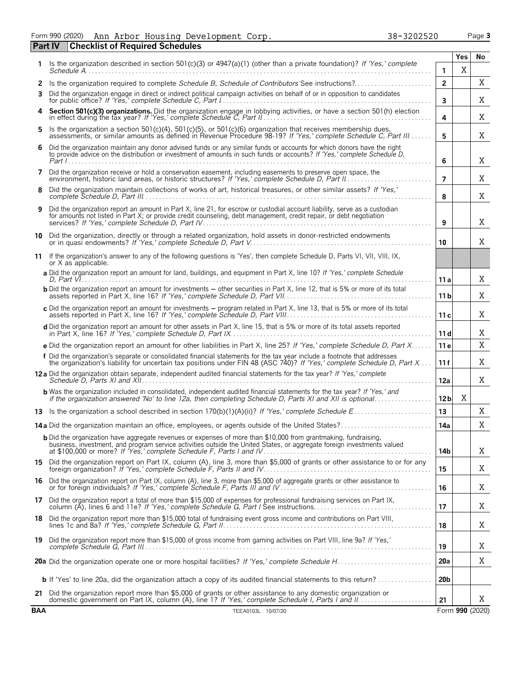Form 990 (2020) Page **3** Ann Arbor Housing Development Corp. 38-3202520

|            | <b>Checklist of Required Schedules</b><br><b>Part IV</b>                                                                                                                                                                                            |                 |     |                 |
|------------|-----------------------------------------------------------------------------------------------------------------------------------------------------------------------------------------------------------------------------------------------------|-----------------|-----|-----------------|
| 1.         | Is the organization described in section 501(c)(3) or 4947(a)(1) (other than a private foundation)? If 'Yes,' complete                                                                                                                              |                 | Yes | No              |
|            |                                                                                                                                                                                                                                                     | $\mathbf{1}$    | X   |                 |
| 2<br>3     | Is the organization required to complete Schedule B, Schedule of Contributors See instructions?<br>Did the organization engage in direct or indirect political campaign activities on behalf of or in opposition to candidates                      | $\overline{2}$  |     | X<br>X          |
|            | Section 501(c)(3) organizations. Did the organization engage in lobbying activities, or have a section 501(h) election in effect during the tax year? If 'Yes,' complete Schedule C, Part II.                                                       | 3<br>4          |     | Χ               |
| 5          | Is the organization a section 501(c)(4), 501(c)(5), or 501(c)(6) organization that receives membership dues, assessments, or similar amounts as defined in Revenue Procedure 98-19? If 'Yes,' complete Schedule C, Part III                         | 5               |     | Χ               |
| 6          | Did the organization maintain any donor advised funds or any similar funds or accounts for which donors have the right<br>to provide advice on the distribution or investment of amounts in such funds or accounts? If 'Yes,' complete Schedule D,  | 6               |     | Χ               |
| 7          | Did the organization receive or hold a conservation easement, including easements to preserve open space, the                                                                                                                                       | $\overline{7}$  |     | Χ               |
| 8          | Did the organization maintain collections of works of art, historical treasures, or other similar assets? If 'Yes,'                                                                                                                                 | 8               |     | X               |
| 9          | Did the organization report an amount in Part X, line 21, for escrow or custodial account liability, serve as a custodian<br>for amounts not listed in Part X; or provide credit counseling, debt management, credit repair, or debt negotiation    | 9               |     | X               |
| 10         | Did the organization, directly or through a related organization, hold assets in donor-restricted endowments                                                                                                                                        | 10              |     | X               |
| 11         | If the organization's answer to any of the following questions is 'Yes', then complete Schedule D, Parts VI, VII, VIII, IX,<br>or X as applicable.                                                                                                  |                 |     |                 |
|            | a Did the organization report an amount for land, buildings, and equipment in Part X, line 10? If 'Yes,' complete Schedule                                                                                                                          | 11 a            |     | X               |
|            | <b>b</b> Did the organization report an amount for investments – other securities in Part X, line 12, that is 5% or more of its total                                                                                                               | 11 b            |     | X               |
|            | c Did the organization report an amount for investments - program related in Part X, line 13, that is 5% or more of its total                                                                                                                       | 11c             |     | Χ               |
|            | d Did the organization report an amount for other assets in Part X, line 15, that is 5% or more of its total assets reported                                                                                                                        | 11d             |     | Χ               |
|            | e Did the organization report an amount for other liabilities in Part X, line 25? If 'Yes,' complete Schedule D, Part X                                                                                                                             | 11 e            |     | X               |
|            | f Did the organization's separate or consolidated financial statements for the tax year include a footnote that addresses<br>the organization's liability for uncertain tax positions under FIN 48 (ASC 740)? If 'Yes,' complete Schedule D, Part X | 11 f            |     | X               |
|            | 12a Did the organization obtain separate, independent audited financial statements for the tax year? If 'Yes,' complete                                                                                                                             | 12a             |     | X               |
|            | <b>b</b> Was the organization included in consolidated, independent audited financial statements for the tax year? If 'Yes,' and<br>if the organization answered 'No' to line 12a, then completing Schedule D, Parts XI and XII is optional         | 12 <sub>b</sub> | X   |                 |
|            |                                                                                                                                                                                                                                                     | 13              |     | Χ               |
|            | 14a Did the organization maintain an office, employees, or agents outside of the United States?                                                                                                                                                     | 14a             |     | X               |
|            | <b>b</b> Did the organization have aggregate revenues or expenses of more than \$10,000 from grantmaking, fundraising,<br>business, investment, and program service activities outside the United States, or aggregate foreign investments valued   | 14b             |     | X               |
|            | 15 Did the organization report on Part IX, column (A), line 3, more than \$5,000 of grants or other assistance to or for any foreign organization? If 'Yes,' complete Schedule F, Parts II and IV                                                   | 15              |     | Χ               |
|            | 16 Did the organization report on Part IX, column (A), line 3, more than \$5,000 of aggregate grants or other assistance to<br>or for foreign individuals? If 'Yes,' complete Schedule F, Parts III and IV                                          | 16              |     | Χ               |
|            | 17 Did the organization report a total of more than \$15,000 of expenses for professional fundraising services on Part IX,<br>column (A), lines 6 and 11e? If 'Yes,' complete Schedule G, Part I See instructions                                   | 17              |     | X               |
|            | 18 Did the organization report more than \$15,000 total of fundraising event gross income and contributions on Part VIII,                                                                                                                           | 18              |     | X               |
|            | 19 Did the organization report more than \$15,000 of gross income from gaming activities on Part VIII, line 9a? If 'Yes,'                                                                                                                           | 19              |     | Χ               |
|            |                                                                                                                                                                                                                                                     | 20a             |     | Χ               |
|            | <b>b</b> If 'Yes' to line 20a, did the organization attach a copy of its audited financial statements to this return?                                                                                                                               | 20 <sub>b</sub> |     |                 |
|            | 21 Did the organization report more than \$5,000 of grants or other assistance to any domestic organization or                                                                                                                                      | 21              |     | X               |
| <b>BAA</b> | TEEA0103L 10/07/20                                                                                                                                                                                                                                  |                 |     | Form 990 (2020) |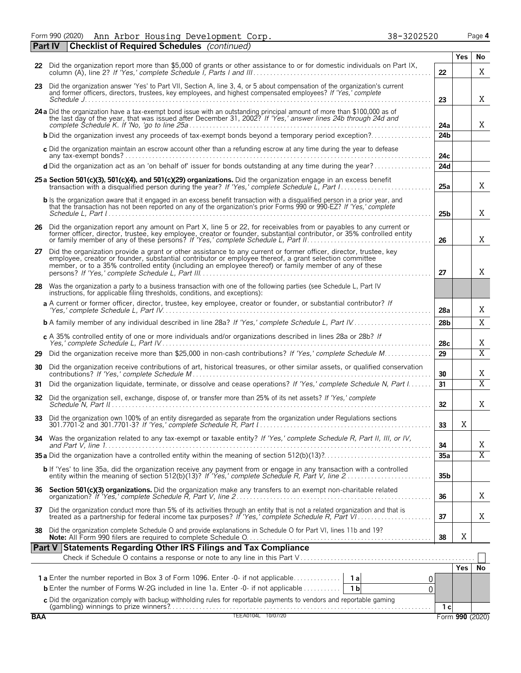Form 990 (2020) Page **4** Ann Arbor Housing Development Corp. 38-3202520

|            | Part IV | <b>Checklist of Required Schedules</b> (continued)                                                                                                                                                                                                                                                                                    |                 |            |                       |
|------------|---------|---------------------------------------------------------------------------------------------------------------------------------------------------------------------------------------------------------------------------------------------------------------------------------------------------------------------------------------|-----------------|------------|-----------------------|
|            |         | 22 Did the organization report more than \$5,000 of grants or other assistance to or for domestic individuals on Part IX,                                                                                                                                                                                                             |                 | Yes        | No                    |
|            |         |                                                                                                                                                                                                                                                                                                                                       | 22              |            | X                     |
|            |         | 23 Did the organization answer 'Yes' to Part VII, Section A, line 3, 4, or 5 about compensation of the organization's current<br>and former officers, directors, trustees, key employees, and highest compensated employees? If 'Yes,' complete                                                                                       | 23              |            | X                     |
|            |         | 24 a Did the organization have a tax-exempt bond issue with an outstanding principal amount of more than \$100,000 as of the last day of the year, that was issued after December 31, 2002? If 'Yes,' answer lines 24b through                                                                                                        | 24a             |            | X                     |
|            |         | <b>b</b> Did the organization invest any proceeds of tax-exempt bonds beyond a temporary period exception?                                                                                                                                                                                                                            | 24 <sub>b</sub> |            |                       |
|            |         | c Did the organization maintain an escrow account other than a refunding escrow at any time during the year to defease                                                                                                                                                                                                                | 24с             |            |                       |
|            |         | d Did the organization act as an 'on behalf of' issuer for bonds outstanding at any time during the year?                                                                                                                                                                                                                             | 24d             |            |                       |
|            |         | 25 a Section 501(c)(3), 501(c)(4), and 501(c)(29) organizations. Did the organization engage in an excess benefit                                                                                                                                                                                                                     | 25a             |            | X                     |
|            |         | <b>b</b> Is the organization aware that it engaged in an excess benefit transaction with a disqualified person in a prior year, and<br>that the transaction has not been reported on any of the organization's prior Forms 990 or 990-EZ? If 'Yes,' complete                                                                          | 25b             |            | X                     |
|            |         | 26 Did the organization report any amount on Part X, line 5 or 22, for receivables from or payables to any current or former officer, director, trustee, key employee, creator or founder, substantial contributor, or 35% con                                                                                                        | 26              |            | Χ                     |
| 27         |         | Did the organization provide a grant or other assistance to any current or former officer, director, trustee, key<br>employee, creator or founder, substantial contributor or employee thereof, a grant selection committee<br>member, or to a 35% controlled entity (including an employee thereof) or family member of any of these | 27              |            | Χ                     |
| 28         |         | Was the organization a party to a business transaction with one of the following parties (see Schedule L, Part IV<br>instructions, for applicable filing thresholds, conditions, and exceptions):                                                                                                                                     |                 |            |                       |
|            |         | a A current or former officer, director, trustee, key employee, creator or founder, or substantial contributor? If                                                                                                                                                                                                                    | 28a             |            | Χ                     |
|            |         | <b>b</b> A family member of any individual described in line 28a? If 'Yes,' complete Schedule L, Part IV                                                                                                                                                                                                                              | 28 <sub>b</sub> |            | X                     |
|            |         | c A 35% controlled entity of one or more individuals and/or organizations described in lines 28a or 28b? If                                                                                                                                                                                                                           | 28c             |            | Χ                     |
| 29         |         | Did the organization receive more than \$25,000 in non-cash contributions? If 'Yes,' complete Schedule M                                                                                                                                                                                                                              | 29              |            | $\overline{\text{X}}$ |
| 30         |         | Did the organization receive contributions of art, historical treasures, or other similar assets, or qualified conservation                                                                                                                                                                                                           | 30              |            | Χ                     |
| 31         |         | Did the organization liquidate, terminate, or dissolve and cease operations? If 'Yes,' complete Schedule N, Part I                                                                                                                                                                                                                    | 31              |            | $\overline{X}$        |
| 32         |         | Did the organization sell, exchange, dispose of, or transfer more than 25% of its net assets? If 'Yes,' complete                                                                                                                                                                                                                      | 32 <sub>2</sub> |            | Χ                     |
| 33         |         | Did the organization own 100% of an entity disregarded as separate from the organization under Regulations sections                                                                                                                                                                                                                   | 33              | v<br>Λ     |                       |
| 34         |         | Was the organization related to any tax-exempt or taxable entity? If 'Yes,' complete Schedule R, Part II, III, or IV,                                                                                                                                                                                                                 | 34              |            | Χ                     |
|            |         |                                                                                                                                                                                                                                                                                                                                       | 35a             |            | $\overline{X}$        |
|            |         | b If 'Yes' to line 35a, did the organization receive any payment from or engage in any transaction with a controlled<br>entity within the meaning of section 512(b)(13)? If 'Yes,' complete Schedule R, Part V, line 2                                                                                                                | 35 <sub>b</sub> |            |                       |
|            |         |                                                                                                                                                                                                                                                                                                                                       | 36              |            | Χ                     |
| 37         |         | Did the organization conduct more than 5% of its activities through an entity that is not a related organization and that is treated as a partnership for federal income tax purposes? If 'Yes,' complete Schedule R, Part VI.                                                                                                        | 37              |            | Χ                     |
| 38         |         | Did the organization complete Schedule O and provide explanations in Schedule O for Part VI, lines 11b and 19?                                                                                                                                                                                                                        | 38              | X          |                       |
|            |         | Part V Statements Regarding Other IRS Filings and Tax Compliance                                                                                                                                                                                                                                                                      |                 |            |                       |
|            |         |                                                                                                                                                                                                                                                                                                                                       |                 | <b>Yes</b> | No                    |
|            |         | 0.<br><b>b</b> Enter the number of Forms W-2G included in line 1a. Enter -0- if not applicable<br>1 <sub>b</sub><br>0                                                                                                                                                                                                                 |                 |            |                       |
|            |         |                                                                                                                                                                                                                                                                                                                                       |                 |            |                       |
| <b>BAA</b> |         | C Did the organization comply with backup withholding rules for reportable payments to vendors and reportable gaming<br>(gambling) winnings to prize winners?<br>TEEA0104L 10/07/20                                                                                                                                                   | 1 <sub>c</sub>  |            | Form 990 (2020)       |
|            |         |                                                                                                                                                                                                                                                                                                                                       |                 |            |                       |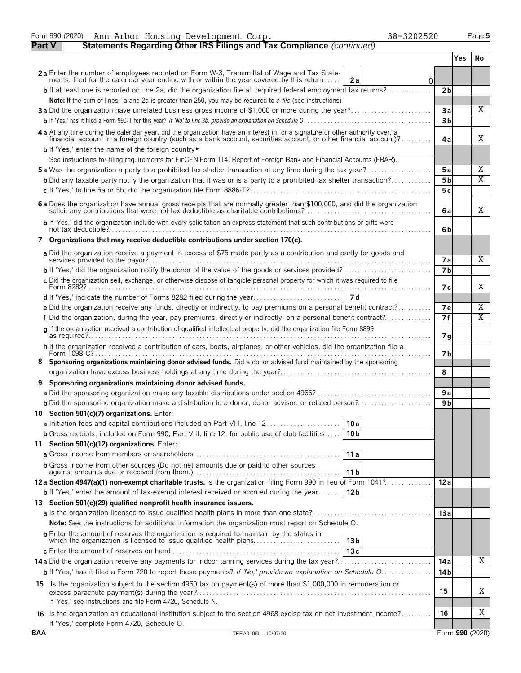|            | Form 990 (2020)<br>38-3202520<br>Ann Arbor Housing Development Corp.                                                                                                                                                           |                |     | Page 5          |
|------------|--------------------------------------------------------------------------------------------------------------------------------------------------------------------------------------------------------------------------------|----------------|-----|-----------------|
| Part V     | Statements Regarding Other IRS Filings and Tax Compliance (continued)                                                                                                                                                          |                |     |                 |
|            |                                                                                                                                                                                                                                |                | Yes | No.             |
|            | 2a Enter the number of employees reported on Form W-3, Transmittal of Wage and Tax State-<br>ments, filed for the calendar year ending with or within the year covered by this return<br>2a<br>0                               |                |     |                 |
|            | <b>b</b> If at least one is reported on line 2a, did the organization file all required federal employment tax returns?                                                                                                        | 2 <sub>b</sub> |     |                 |
|            | Note: If the sum of lines 1a and 2a is greater than 250, you may be required to e-file (see instructions)                                                                                                                      |                |     |                 |
|            | 3a Did the organization have unrelated business gross income of \$1,000 or more during the year?                                                                                                                               | 3a             |     | X               |
|            |                                                                                                                                                                                                                                | 3 <sub>b</sub> |     |                 |
|            | 4a At any time during the calendar year, did the organization have an interest in, or a signature or other authority over, a financial account in a foreign country (such as a bank account, securities account, or other fina | 4a             |     | X               |
|            | b If 'Yes,' enter the name of the foreign country                                                                                                                                                                              |                |     |                 |
|            | See instructions for filing requirements for FinCEN Form 114, Report of Foreign Bank and Financial Accounts (FBAR).                                                                                                            |                |     |                 |
|            | <b>5a</b> Was the organization a party to a prohibited tax shelter transaction at any time during the tax year?                                                                                                                | 5a             |     | Χ               |
|            | <b>b</b> Did any taxable party notify the organization that it was or is a party to a prohibited tax shelter transaction?                                                                                                      | 5 b            |     | X               |
|            |                                                                                                                                                                                                                                | 5c             |     |                 |
|            | 6 a Does the organization have annual gross receipts that are normally greater than \$100,000, and did the organization solicit any contributions that were not tax deductible as charitable contributions?                    | 6a             |     | X               |
|            | b If 'Yes,' did the organization include with every solicitation an express statement that such contributions or gifts were                                                                                                    | 6b             |     |                 |
|            | 7 Organizations that may receive deductible contributions under section 170(c).                                                                                                                                                |                |     |                 |
|            | a Did the organization receive a payment in excess of \$75 made partly as a contribution and partly for goods and                                                                                                              | <b>7a</b>      |     | X               |
|            |                                                                                                                                                                                                                                | 7 <sub>b</sub> |     |                 |
|            | c Did the organization sell, exchange, or otherwise dispose of tangible personal property for which it was required to file                                                                                                    | 7 с            |     | X               |
|            |                                                                                                                                                                                                                                |                |     |                 |
|            | e Did the organization receive any funds, directly or indirectly, to pay premiums on a personal benefit contract?                                                                                                              | 7e             |     | Χ               |
|            | f Did the organization, during the year, pay premiums, directly or indirectly, on a personal benefit contract?                                                                                                                 | 7f             |     | Χ               |
|            | g If the organization received a contribution of qualified intellectual property, did the organization file Form 8899                                                                                                          | 7g             |     |                 |
|            | h If the organization received a contribution of cars, boats, airplanes, or other vehicles, did the organization file a                                                                                                        | 7 h            |     |                 |
|            | Sponsoring organizations maintaining donor advised funds. Did a donor advised fund maintained by the sponsoring                                                                                                                | 8              |     |                 |
| 9          | Sponsoring organizations maintaining donor advised funds.                                                                                                                                                                      |                |     |                 |
|            |                                                                                                                                                                                                                                | 9a             |     |                 |
|            |                                                                                                                                                                                                                                | 9 b            |     |                 |
|            | 10 Section 501(c)(7) organizations. Enter:                                                                                                                                                                                     |                |     |                 |
|            | 10 a                                                                                                                                                                                                                           |                |     |                 |
|            | <b>b</b> Gross receipts, included on Form 990, Part VIII, line 12, for public use of club facilities<br>10 <sub>b</sub>                                                                                                        |                |     |                 |
|            | 11 Section 501(c)(12) organizations. Enter:                                                                                                                                                                                    |                |     |                 |
|            | 11a                                                                                                                                                                                                                            |                |     |                 |
|            | <b>b</b> Gross income from other sources (Do not net amounts due or paid to other sources<br>11 b                                                                                                                              |                |     |                 |
|            | 12a Section 4947(a)(1) non-exempt charitable trusts. Is the organization filing Form 990 in lieu of Form 1041?                                                                                                                 | 12a            |     |                 |
|            | <b>b</b> If 'Yes,' enter the amount of tax-exempt interest received or accrued during the year   12b                                                                                                                           |                |     |                 |
|            | 13 Section 501(c)(29) qualified nonprofit health insurance issuers.                                                                                                                                                            |                |     |                 |
|            |                                                                                                                                                                                                                                | 13a            |     |                 |
|            | <b>Note:</b> See the instructions for additional information the organization must report on Schedule O.                                                                                                                       |                |     |                 |
|            | <b>b</b> Enter the amount of reserves the organization is required to maintain by the states in<br>which the organization is licensed to issue qualified health plans<br>13 <sub>b</sub>                                       |                |     |                 |
|            | 13c                                                                                                                                                                                                                            | 14 a           |     | Χ               |
|            | b If 'Yes,' has it filed a Form 720 to report these payments? If 'No,' provide an explanation on Schedule O                                                                                                                    | 14 b           |     |                 |
|            |                                                                                                                                                                                                                                |                |     |                 |
|            | 15 Is the organization subject to the section 4960 tax on payment(s) of more than \$1,000,000 in remuneration or<br>If 'Yes,' see instructions and file Form 4720, Schedule N.                                                 | 15             |     | Χ               |
|            | 16 Is the organization an educational institution subject to the section 4968 excise tax on net investment income?                                                                                                             | 16             |     | Χ               |
| <b>BAA</b> | If 'Yes,' complete Form 4720, Schedule O.                                                                                                                                                                                      |                |     |                 |
|            | TEEA0105L 10/07/20                                                                                                                                                                                                             |                |     | Form 990 (2020) |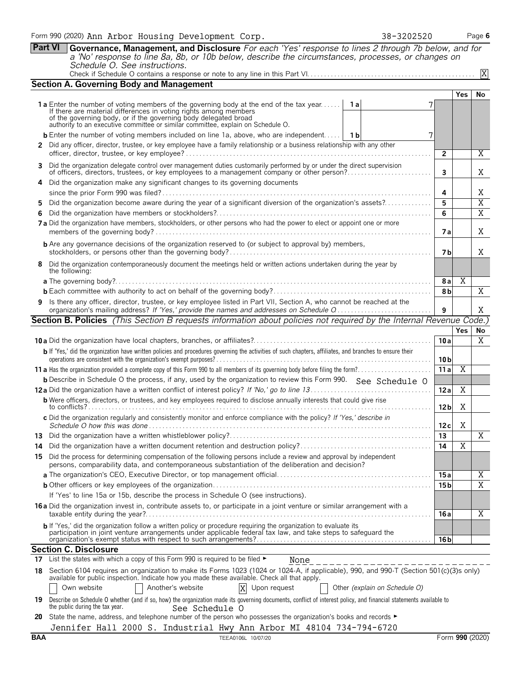**Part VI Governance, Management, and Disclosure** *For each 'Yes' response to lines 2 through 7b below, and for a 'No' response to line 8a, 8b, or 10b below, describe the circumstances, processes, or changes on Schedule O. See instructions.* Check if Schedule O contains a response or note to any line in this Part VI. . . . . . . . . . . . . . . . . . . . . . . . . . . . . . . . . . . . . . . . . . . . . . . . . .

|                                                                                                                        | <b>Section A. Governing Body and Management</b>                                                                                                                                                                                            |                        |                |                       |  |  |  |  |  |  |  |
|------------------------------------------------------------------------------------------------------------------------|--------------------------------------------------------------------------------------------------------------------------------------------------------------------------------------------------------------------------------------------|------------------------|----------------|-----------------------|--|--|--|--|--|--|--|
|                                                                                                                        |                                                                                                                                                                                                                                            |                        | Yes            | No                    |  |  |  |  |  |  |  |
|                                                                                                                        | <b>1a</b> Enter the number of voting members of the governing body at the end of the tax year<br>1 a<br>If there are material differences in voting rights among members                                                                   |                        |                |                       |  |  |  |  |  |  |  |
|                                                                                                                        | of the governing body, or if the governing body delegated broad<br>authority to an executive committee or similar committee, explain on Schedule O.                                                                                        |                        |                |                       |  |  |  |  |  |  |  |
|                                                                                                                        | <b>b</b> Enter the number of voting members included on line 1a, above, who are independent   1b<br>7                                                                                                                                      |                        |                |                       |  |  |  |  |  |  |  |
|                                                                                                                        | 2 Did any officer, director, trustee, or key employee have a family relationship or a business relationship with any other                                                                                                                 |                        |                |                       |  |  |  |  |  |  |  |
|                                                                                                                        |                                                                                                                                                                                                                                            | $\overline{2}$         |                | Χ                     |  |  |  |  |  |  |  |
|                                                                                                                        | 3 Did the organization delegate control over management duties customarily performed by or under the direct supervision<br>of officers, directors, trustees, or key employees to a management company or other person?                     | 3                      |                | Χ                     |  |  |  |  |  |  |  |
|                                                                                                                        | Did the organization make any significant changes to its governing documents<br>4                                                                                                                                                          |                        |                |                       |  |  |  |  |  |  |  |
|                                                                                                                        |                                                                                                                                                                                                                                            | 4                      |                | Χ                     |  |  |  |  |  |  |  |
|                                                                                                                        | Did the organization become aware during the year of a significant diversion of the organization's assets?<br>5.                                                                                                                           | 5<br>6                 |                | $\overline{\text{X}}$ |  |  |  |  |  |  |  |
|                                                                                                                        | 6.<br>7 a Did the organization have members, stockholders, or other persons who had the power to elect or appoint one or more                                                                                                              |                        |                | $\overline{X}$        |  |  |  |  |  |  |  |
|                                                                                                                        |                                                                                                                                                                                                                                            |                        |                |                       |  |  |  |  |  |  |  |
| <b>b</b> Are any governance decisions of the organization reserved to (or subject to approval by) members,             |                                                                                                                                                                                                                                            |                        |                |                       |  |  |  |  |  |  |  |
|                                                                                                                        | 8 Did the organization contemporaneously document the meetings held or written actions undertaken during the year by                                                                                                                       |                        |                |                       |  |  |  |  |  |  |  |
|                                                                                                                        | the following:                                                                                                                                                                                                                             |                        |                |                       |  |  |  |  |  |  |  |
|                                                                                                                        |                                                                                                                                                                                                                                            | 8 a                    | Χ              |                       |  |  |  |  |  |  |  |
|                                                                                                                        |                                                                                                                                                                                                                                            | 8 <sub>b</sub>         |                | X                     |  |  |  |  |  |  |  |
| 9 Is there any officer, director, trustee, or key employee listed in Part VII, Section A, who cannot be reached at the |                                                                                                                                                                                                                                            |                        |                |                       |  |  |  |  |  |  |  |
|                                                                                                                        | <b>Section B. Policies</b> (This Section B requests information about policies not required by the Internal Revenue Code.)                                                                                                                 |                        |                |                       |  |  |  |  |  |  |  |
|                                                                                                                        |                                                                                                                                                                                                                                            |                        | <b>Yes</b>     | No                    |  |  |  |  |  |  |  |
|                                                                                                                        |                                                                                                                                                                                                                                            | 10a                    |                | $\overline{X}$        |  |  |  |  |  |  |  |
|                                                                                                                        | b If 'Yes,' did the organization have written policies and procedures governing the activities of such chapters, affiliates, and branches to ensure their                                                                                  |                        |                |                       |  |  |  |  |  |  |  |
|                                                                                                                        |                                                                                                                                                                                                                                            | 10 <sub>b</sub><br>11a | $\overline{X}$ |                       |  |  |  |  |  |  |  |
|                                                                                                                        | <b>b</b> Describe in Schedule O the process, if any, used by the organization to review this Form 990. See Schedule O                                                                                                                      |                        |                |                       |  |  |  |  |  |  |  |
|                                                                                                                        |                                                                                                                                                                                                                                            | 12a                    | Χ              |                       |  |  |  |  |  |  |  |
|                                                                                                                        | <b>b</b> Were officers, directors, or trustees, and key employees required to disclose annually interests that could give rise                                                                                                             |                        |                |                       |  |  |  |  |  |  |  |
|                                                                                                                        |                                                                                                                                                                                                                                            | 12 <sub>b</sub>        | Χ              |                       |  |  |  |  |  |  |  |
|                                                                                                                        | c Did the organization regularly and consistently monitor and enforce compliance with the policy? If 'Yes,' describe in                                                                                                                    | 12 c                   | Χ              |                       |  |  |  |  |  |  |  |
|                                                                                                                        |                                                                                                                                                                                                                                            | 13                     |                | X                     |  |  |  |  |  |  |  |
| 14                                                                                                                     |                                                                                                                                                                                                                                            | 14                     | Χ              |                       |  |  |  |  |  |  |  |
|                                                                                                                        | 15 Did the process for determining compensation of the following persons include a review and approval by independent<br>persons, comparability data, and contemporaneous substantiation of the deliberation and decision?                 |                        |                |                       |  |  |  |  |  |  |  |
|                                                                                                                        |                                                                                                                                                                                                                                            | 15 a                   |                | Χ                     |  |  |  |  |  |  |  |
|                                                                                                                        |                                                                                                                                                                                                                                            | 15 <sub>b</sub>        |                | $\overline{X}$        |  |  |  |  |  |  |  |
|                                                                                                                        | If 'Yes' to line 15a or 15b, describe the process in Schedule O (see instructions).                                                                                                                                                        |                        |                |                       |  |  |  |  |  |  |  |
|                                                                                                                        | 16 a Did the organization invest in, contribute assets to, or participate in a joint venture or similar arrangement with a                                                                                                                 | 16 a                   |                | X                     |  |  |  |  |  |  |  |
|                                                                                                                        | b If 'Yes,' did the organization follow a written policy or procedure requiring the organization to evaluate its                                                                                                                           |                        |                |                       |  |  |  |  |  |  |  |
|                                                                                                                        | participation in joint venture arrangements under applicable federal tax law, and take steps to safeguard the                                                                                                                              | 16 <sub>b</sub>        |                |                       |  |  |  |  |  |  |  |
|                                                                                                                        | <b>Section C. Disclosure</b>                                                                                                                                                                                                               |                        |                |                       |  |  |  |  |  |  |  |
|                                                                                                                        | 17 List the states with which a copy of this Form 990 is required to be filed $\blacktriangleright$<br>None                                                                                                                                |                        |                |                       |  |  |  |  |  |  |  |
|                                                                                                                        | 18 Section 6104 requires an organization to make its Forms 1023 (1024 or 1024-A, if applicable), 990, and 990-T (Section 501(c)(3)s only)<br>available for public inspection. Indicate how you made these available. Check all that apply. |                        |                |                       |  |  |  |  |  |  |  |
|                                                                                                                        | Another's website<br>Other (explain on Schedule O)<br>Own website<br>X<br>Upon request                                                                                                                                                     |                        |                |                       |  |  |  |  |  |  |  |
| 19                                                                                                                     | Describe on Schedule O whether (and if so, how) the organization made its governing documents, conflict of interest policy, and financial statements available to<br>the public during the tax year.<br>See Schedule O                     |                        |                |                       |  |  |  |  |  |  |  |

**20** State the name, address, and telephone number of the person who possesses the organization's books and records ► Jennifer Hall 2000 S. Industrial Hwy Ann Arbor MI 48104 734-794-6720 X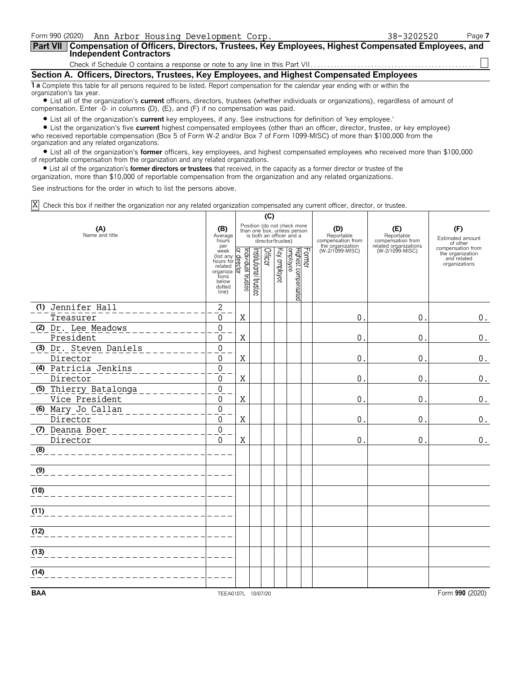| Form 990 (2020) Ann Arbor Housing Development Corp.                                                                                                            | 38-3202520 | Page 7 |  |  |  |  |  |  |  |
|----------------------------------------------------------------------------------------------------------------------------------------------------------------|------------|--------|--|--|--|--|--|--|--|
| Part VII   Compensation of Officers, Directors, Trustees, Key Employees, Highest Compensated Employees, and<br>Independent Contractors                         |            |        |  |  |  |  |  |  |  |
|                                                                                                                                                                |            |        |  |  |  |  |  |  |  |
| Section A. Officers, Directors, Trustees, Key Employees, and Highest Compensated Employees                                                                     |            |        |  |  |  |  |  |  |  |
| 1 a Complete this table for all persons required to be listed. Report compensation for the calendar year ending with or within the<br>organization's tax year. |            |        |  |  |  |  |  |  |  |

? List all of the organization's **current** officers, directors, trustees (whether individuals or organizations), regardless of amount of compensation. Enter -0- in columns (D), (E), and (F) if no compensation was paid.

? List all of the organization's **current** key employees, if any. See instructions for definition of 'key employee.'

? List the organization's five **current** highest compensated employees (other than an officer, director, trustee, or key employee) who received reportable compensation (Box 5 of Form W-2 and/or Box 7 of Form 1099-MISC) of more than \$100,000 from the organization and any related organizations.

? List all of the organization's **former** officers, key employees, and highest compensated employees who received more than \$100,000 of reportable compensation from the organization and any related organizations.

? List all of the organization's **former directors or trustees** that received, in the capacity as a former director or trustee of the

organization, more than \$10,000 of reportable compensation from the organization and any related organizations.

See instructions for the order in which to list the persons above.

Check this box if neither the organization nor any related organization compensated any current officer, director, or trustee. X

|                                         |                                                                                                                                                                                         | (C)                     |                       |         |                   |                                                                                        |        |                                                            |                                                                 |                                                                       |
|-----------------------------------------|-----------------------------------------------------------------------------------------------------------------------------------------------------------------------------------------|-------------------------|-----------------------|---------|-------------------|----------------------------------------------------------------------------------------|--------|------------------------------------------------------------|-----------------------------------------------------------------|-----------------------------------------------------------------------|
| (A)<br>Name and title                   | (B)<br>Average<br>hours<br>per                                                                                                                                                          |                         |                       |         | director/trustee) | Position (do not check more<br>than one box, unless person<br>is both an officer and a |        | (D)<br>Reportable<br>compensation from<br>the organization | (E)<br>Reportable<br>compensation from<br>related organizations | (F)<br>Estimated amount<br>of other                                   |
|                                         | week<br>$\frac{\text{wear}}{\text{hours}}$<br>hours for $\frac{\text{d}}{\text{d}}$<br>related $\frac{\text{d}}{\text{d}}$<br>related<br>organiza-<br>tions<br>below<br>dotted<br>line) | Individual trustee<br>হ | Institutional trustee | Officer | Key employee      | Highest compensated<br>employee                                                        | Former | (W-2/1099-MISC)                                            | (W-2/1099-MISC)                                                 | compensation from<br>the organization<br>and related<br>organizations |
| (1) Jennifer Hall                       | $\sqrt{2}$                                                                                                                                                                              |                         |                       |         |                   |                                                                                        |        |                                                            |                                                                 |                                                                       |
| Treasurer                               | 0<br>$\overline{0}$                                                                                                                                                                     | $\mathbf X$             |                       |         |                   |                                                                                        |        | 0                                                          | 0.                                                              | $0$ .                                                                 |
| (2) Dr. Lee Meadows<br>President        | $\Omega$                                                                                                                                                                                | X                       |                       |         |                   |                                                                                        |        | 0                                                          | 0.                                                              | 0.                                                                    |
| (3) Dr. Steven Daniels                  | $\overline{0}$                                                                                                                                                                          |                         |                       |         |                   |                                                                                        |        |                                                            |                                                                 |                                                                       |
| Director                                | $\Omega$                                                                                                                                                                                | X                       |                       |         |                   |                                                                                        |        | 0                                                          | $0$ .                                                           | 0.                                                                    |
| (4) Patricia Jenkins<br>Director        | $\overline{0}$<br>$\Omega$                                                                                                                                                              | Χ                       |                       |         |                   |                                                                                        |        | 0                                                          | 0.                                                              | $0$ .                                                                 |
| (5) Thierry Batalonga<br>Vice President | $\mathbf 0$<br>$\Omega$                                                                                                                                                                 | $\mathbf X$             |                       |         |                   |                                                                                        |        | 0                                                          | 0.                                                              | 0.                                                                    |
| (6) Mary Jo Callan<br>Director          | $\overline{0}$<br>$\Omega$                                                                                                                                                              | $\mathbf X$             |                       |         |                   |                                                                                        |        | 0                                                          | 0.                                                              | $0$ .                                                                 |
| (7) Deanna Boer<br>Director             | $\overline{0}$<br>$\Omega$                                                                                                                                                              | $\mathbf X$             |                       |         |                   |                                                                                        |        | $\Omega$                                                   | 0.                                                              | $\boldsymbol{0}$ .                                                    |
| (8)                                     |                                                                                                                                                                                         |                         |                       |         |                   |                                                                                        |        |                                                            |                                                                 |                                                                       |
| (9)                                     |                                                                                                                                                                                         |                         |                       |         |                   |                                                                                        |        |                                                            |                                                                 |                                                                       |
| (10)                                    |                                                                                                                                                                                         |                         |                       |         |                   |                                                                                        |        |                                                            |                                                                 |                                                                       |
| (11)                                    |                                                                                                                                                                                         |                         |                       |         |                   |                                                                                        |        |                                                            |                                                                 |                                                                       |
| (12)                                    |                                                                                                                                                                                         |                         |                       |         |                   |                                                                                        |        |                                                            |                                                                 |                                                                       |
| (13)                                    |                                                                                                                                                                                         |                         |                       |         |                   |                                                                                        |        |                                                            |                                                                 |                                                                       |
| (14)                                    |                                                                                                                                                                                         |                         |                       |         |                   |                                                                                        |        |                                                            |                                                                 |                                                                       |
| <b>BAA</b>                              | TEEA0107L 10/07/20                                                                                                                                                                      |                         |                       |         |                   |                                                                                        |        |                                                            |                                                                 | Form 990 (2020)                                                       |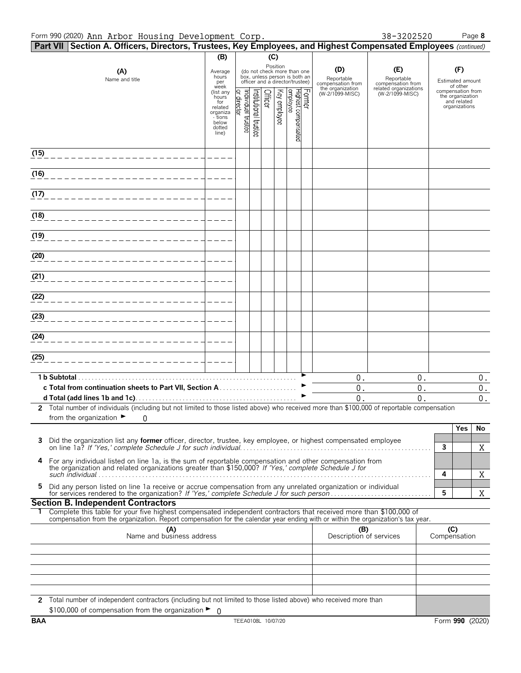| in nibol noubling bevelopment colp:<br>Part VII Section A. Officers, Directors, Trustees, Key Employees, and Highest Compensated Employees (continued)                                                               |                                                                                |                               |                      |         |              |                                                                                                 |        |                                        |                                          |                                                                       |                           |
|----------------------------------------------------------------------------------------------------------------------------------------------------------------------------------------------------------------------|--------------------------------------------------------------------------------|-------------------------------|----------------------|---------|--------------|-------------------------------------------------------------------------------------------------|--------|----------------------------------------|------------------------------------------|-----------------------------------------------------------------------|---------------------------|
|                                                                                                                                                                                                                      | (B)                                                                            |                               |                      | (C)     |              |                                                                                                 |        |                                        |                                          |                                                                       |                           |
| (A)<br>Name and title                                                                                                                                                                                                | Average<br>hours<br>per<br>week                                                |                               |                      |         | Position     | (do not check more than one<br>box, unless person is both an<br>officer and a director/trustee) |        | (D)<br>Reportable<br>compensation from | (E)<br>Reportable<br>compensation from   | (F)<br>Estimated amount<br>of other                                   |                           |
|                                                                                                                                                                                                                      | (list any<br>hours<br>for<br>related<br>organiza<br>- tions<br>below<br>dotted | ndividual trustee<br>director | nstitutional trustee | Officer | Key employee | Highest compensated<br> employee                                                                | Former | the organization<br>(W-2/1099-MISC)    | related organizations<br>(W-2/1099-MISC) | compensation from<br>the organization<br>and related<br>organizations |                           |
|                                                                                                                                                                                                                      | line)                                                                          |                               |                      |         |              |                                                                                                 |        |                                        |                                          |                                                                       |                           |
| (15)                                                                                                                                                                                                                 |                                                                                |                               |                      |         |              |                                                                                                 |        |                                        |                                          |                                                                       |                           |
| (16)                                                                                                                                                                                                                 |                                                                                |                               |                      |         |              |                                                                                                 |        |                                        |                                          |                                                                       |                           |
| (17)                                                                                                                                                                                                                 |                                                                                |                               |                      |         |              |                                                                                                 |        |                                        |                                          |                                                                       |                           |
| (18)                                                                                                                                                                                                                 |                                                                                |                               |                      |         |              |                                                                                                 |        |                                        |                                          |                                                                       |                           |
| (19)                                                                                                                                                                                                                 |                                                                                |                               |                      |         |              |                                                                                                 |        |                                        |                                          |                                                                       |                           |
| (20)                                                                                                                                                                                                                 |                                                                                |                               |                      |         |              |                                                                                                 |        |                                        |                                          |                                                                       |                           |
| (21)                                                                                                                                                                                                                 |                                                                                |                               |                      |         |              |                                                                                                 |        |                                        |                                          |                                                                       |                           |
| (22)                                                                                                                                                                                                                 |                                                                                |                               |                      |         |              |                                                                                                 |        |                                        |                                          |                                                                       |                           |
| (23)                                                                                                                                                                                                                 |                                                                                |                               |                      |         |              |                                                                                                 |        |                                        |                                          |                                                                       |                           |
| (24)                                                                                                                                                                                                                 |                                                                                |                               |                      |         |              |                                                                                                 |        |                                        |                                          |                                                                       |                           |
| (25)                                                                                                                                                                                                                 |                                                                                |                               |                      |         |              |                                                                                                 |        |                                        |                                          |                                                                       |                           |
|                                                                                                                                                                                                                      |                                                                                |                               |                      |         |              |                                                                                                 |        | $0$ .                                  | $0$ .                                    |                                                                       | $0$ .                     |
|                                                                                                                                                                                                                      |                                                                                |                               |                      |         |              |                                                                                                 |        | $0$ .<br>0.                            | $0$ .<br>0.                              |                                                                       | $\overline{0}$ .<br>$0$ . |
| 2 Total number of individuals (including but not limited to those listed above) who received more than \$100,000 of reportable compensation<br>from the organization $\blacktriangleright$ 0                         |                                                                                |                               |                      |         |              |                                                                                                 |        |                                        |                                          |                                                                       |                           |
|                                                                                                                                                                                                                      |                                                                                |                               |                      |         |              |                                                                                                 |        |                                        |                                          | Yes                                                                   | No                        |
| Did the organization list any former officer, director, trustee, key employee, or highest compensated employee<br>3                                                                                                  |                                                                                |                               |                      |         |              |                                                                                                 |        |                                        |                                          | $\mathbf{3}$                                                          | X                         |
| For any individual listed on line 1a, is the sum of reportable compensation and other compensation from<br>4<br>the organization and related organizations greater than \$150,000? If 'Yes,' complete Schedule J for |                                                                                |                               |                      |         |              |                                                                                                 |        |                                        |                                          | 4                                                                     | X                         |
| Did any person listed on line 1a receive or accrue compensation from any unrelated organization or individual<br>5.                                                                                                  |                                                                                |                               |                      |         |              |                                                                                                 |        |                                        |                                          | 5                                                                     | X                         |
| <b>Section B. Independent Contractors</b><br>Complete this table for your five highest compensated independent contractors that received more than \$100,000 of                                                      |                                                                                |                               |                      |         |              |                                                                                                 |        |                                        |                                          |                                                                       |                           |
| compensation from the organization. Report compensation for the calendar year ending with or within the organization's tax year.<br>(A)<br>Name and business address                                                 |                                                                                |                               |                      |         |              |                                                                                                 |        | (B)<br>Description of services         |                                          | (C)<br>Compensation                                                   |                           |
|                                                                                                                                                                                                                      |                                                                                |                               |                      |         |              |                                                                                                 |        |                                        |                                          |                                                                       |                           |
|                                                                                                                                                                                                                      |                                                                                |                               |                      |         |              |                                                                                                 |        |                                        |                                          |                                                                       |                           |
|                                                                                                                                                                                                                      |                                                                                |                               |                      |         |              |                                                                                                 |        |                                        |                                          |                                                                       |                           |
| 2 Total number of independent contractors (including but not limited to those listed above) who received more than<br>\$100,000 of compensation from the organization $\blacktriangleright$ 0                        |                                                                                |                               |                      |         |              |                                                                                                 |        |                                        |                                          |                                                                       |                           |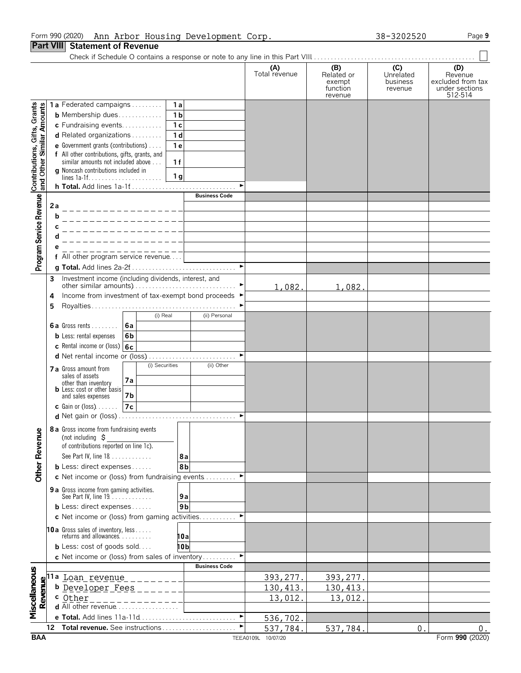### Form 990 (2020) Page **9** Ann Arbor Housing Development Corp. 38-3202520

# **Part VIII Statement of Revenue**

Check if Schedule O contains a response or note to any line in this Part VIII. . . . . . . . . . . . . . . . . . . . . . . . . . . . . . . . . . . . . . . . . . . . . . . . .

|                                                           |    |                                                                     |                |                           | (A)                | (B)                | (C)                 | (D)                                 |
|-----------------------------------------------------------|----|---------------------------------------------------------------------|----------------|---------------------------|--------------------|--------------------|---------------------|-------------------------------------|
|                                                           |    |                                                                     |                |                           | Total revenue      | Related or         | Unrelated           | Revenue                             |
|                                                           |    |                                                                     |                |                           |                    | exempt<br>function | business<br>revenue | excluded from tax<br>under sections |
|                                                           |    |                                                                     |                |                           |                    | revenue            |                     | 512-514                             |
|                                                           |    | 1a Federated campaigns                                              | 1a             |                           |                    |                    |                     |                                     |
|                                                           |    | <b>b</b> Membership dues                                            | 1 <sub>b</sub> |                           |                    |                    |                     |                                     |
|                                                           |    | c Fundraising events                                                | 1 <sub>c</sub> |                           |                    |                    |                     |                                     |
|                                                           |    | d Related organizations                                             | 1 <sub>d</sub> |                           |                    |                    |                     |                                     |
| Contributions, Gifts, Grants<br>and Other Similar Amounts |    | e Government grants (contributions)                                 | 1e             |                           |                    |                    |                     |                                     |
|                                                           |    | f All other contributions, gifts, grants, and                       |                |                           |                    |                    |                     |                                     |
|                                                           |    | similar amounts not included above                                  | 1f             |                           |                    |                    |                     |                                     |
|                                                           |    | <b>g</b> Noncash contributions included in                          | 1 <sub>g</sub> |                           |                    |                    |                     |                                     |
|                                                           |    |                                                                     |                | ь                         |                    |                    |                     |                                     |
|                                                           |    |                                                                     |                | <b>Business Code</b>      |                    |                    |                     |                                     |
| Program Service Revenue                                   | 2a |                                                                     |                |                           |                    |                    |                     |                                     |
|                                                           | b  |                                                                     |                |                           |                    |                    |                     |                                     |
|                                                           |    |                                                                     |                |                           |                    |                    |                     |                                     |
|                                                           |    |                                                                     |                |                           |                    |                    |                     |                                     |
|                                                           |    |                                                                     |                |                           |                    |                    |                     |                                     |
|                                                           |    | f All other program service revenue                                 |                |                           |                    |                    |                     |                                     |
|                                                           |    |                                                                     |                | $\blacktriangleright$     |                    |                    |                     |                                     |
|                                                           |    |                                                                     |                |                           |                    |                    |                     |                                     |
|                                                           | 3  |                                                                     |                |                           | 1,082.             |                    |                     |                                     |
|                                                           | 4  | Income from investment of tax-exempt bond proceeds ▶                |                |                           |                    | 1,082.             |                     |                                     |
|                                                           | 5  |                                                                     |                |                           |                    |                    |                     |                                     |
|                                                           |    |                                                                     | (i) Real       | (ii) Personal             |                    |                    |                     |                                     |
|                                                           |    | <b>6a</b> Gross rents $\ldots$<br>6a                                |                |                           |                    |                    |                     |                                     |
|                                                           |    | <b>b</b> Less: rental expenses<br>6 <sub>b</sub>                    |                |                           |                    |                    |                     |                                     |
|                                                           |    | c Rental income or (loss) 6c                                        |                |                           |                    |                    |                     |                                     |
|                                                           |    |                                                                     |                |                           |                    |                    |                     |                                     |
|                                                           |    |                                                                     | (i) Securities | (ii) Other                |                    |                    |                     |                                     |
|                                                           |    | 7 a Gross amount from<br>sales of assets                            |                |                           |                    |                    |                     |                                     |
|                                                           |    | 7a<br>other than inventory                                          |                |                           |                    |                    |                     |                                     |
|                                                           |    | <b>b</b> Less: cost or other basis<br>and sales expenses<br>7b      |                |                           |                    |                    |                     |                                     |
|                                                           |    | 7c                                                                  |                |                           |                    |                    |                     |                                     |
|                                                           |    | <b>c</b> Gain or (loss) $\ldots$                                    |                | $\blacktriangleright$     |                    |                    |                     |                                     |
|                                                           |    | <b>d</b> Net gain or (loss).                                        |                |                           |                    |                    |                     |                                     |
| nue<br>Z                                                  |    | 8 a Gross income from fundraising events                            |                |                           |                    |                    |                     |                                     |
|                                                           |    | (not including $\zeta$<br>of contributions reported on line 1c).    |                |                           |                    |                    |                     |                                     |
|                                                           |    | See Part IV, line 18                                                |                |                           |                    |                    |                     |                                     |
| Other Reve                                                |    |                                                                     | 8а             |                           |                    |                    |                     |                                     |
|                                                           |    | <b>b</b> Less: direct expenses                                      | 8b             | ٠                         |                    |                    |                     |                                     |
|                                                           |    | c Net income or (loss) from fundraising events                      |                |                           |                    |                    |                     |                                     |
|                                                           |    | 9 a Gross income from gaming activities.<br>See Part IV, line 19.   | 9a             |                           |                    |                    |                     |                                     |
|                                                           |    |                                                                     |                |                           |                    |                    |                     |                                     |
|                                                           |    | <b>b</b> Less: direct expenses                                      | 9 <sub>b</sub> |                           |                    |                    |                     |                                     |
|                                                           |    | c Net income or (loss) from gaming activities                       |                | ►                         |                    |                    |                     |                                     |
|                                                           |    | <b>10a</b> Gross sales of inventory, less<br>returns and allowances |                |                           |                    |                    |                     |                                     |
|                                                           |    |                                                                     | 10a            |                           |                    |                    |                     |                                     |
|                                                           |    | <b>b</b> Less: cost of goods sold                                   | 10b            |                           |                    |                    |                     |                                     |
|                                                           |    | c Net income or (loss) from sales of inventory                      |                | ▶<br><b>Business Code</b> |                    |                    |                     |                                     |
|                                                           |    |                                                                     |                |                           |                    |                    |                     |                                     |
|                                                           |    | 11a <u>Loan revenue </u>                                            |                |                           | 393, 277.          | 393, 277.          |                     |                                     |
| Revenu                                                    |    | b Developer Fees                                                    |                |                           | 130, 413.          | 130, 413.          |                     |                                     |
|                                                           |    | c Other                                                             |                |                           | 13,012.            | 13,012.            |                     |                                     |
| Miscellaneous                                             |    | d All other revenue                                                 |                |                           |                    |                    |                     |                                     |
|                                                           |    | e Total. Add lines 11a-11d                                          |                |                           | 536,702.           |                    |                     |                                     |
|                                                           | 12 | <b>Total revenue.</b> See instructions                              |                |                           | 537,784.           | 537,784.           | $\mathbf 0$         | 0.<br>Form 990 (2020)               |
| <b>BAA</b>                                                |    |                                                                     |                |                           | TEEA0109L 10/07/20 |                    |                     |                                     |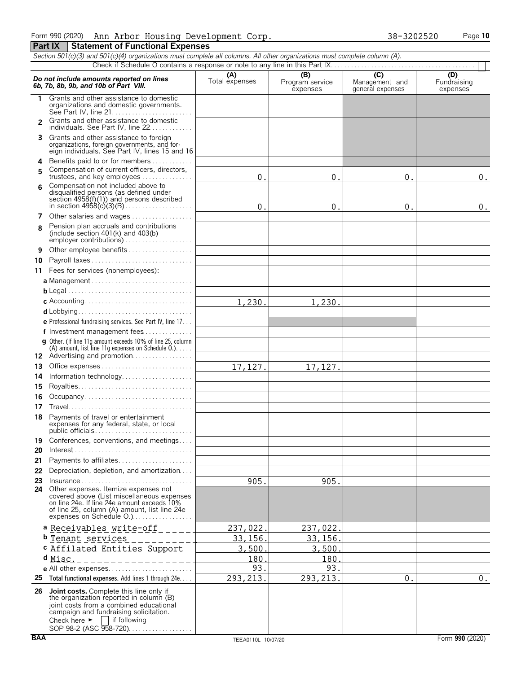|  |  |                                            | Form 990(2020) Ann Arbor Housing Development Corp. |  | 38-3202520 | Page 10 |
|--|--|--------------------------------------------|----------------------------------------------------|--|------------|---------|
|  |  | Part IX   Statement of Functional Expenses |                                                    |  |            |         |

|                | Section 501(c)(3) and 501(c)(4) organizations must complete all columns. All other organizations must complete column (A).                                                                                                                                      |                    |                             |                                    |                         |
|----------------|-----------------------------------------------------------------------------------------------------------------------------------------------------------------------------------------------------------------------------------------------------------------|--------------------|-----------------------------|------------------------------------|-------------------------|
|                |                                                                                                                                                                                                                                                                 | (A)                | (B)                         | $\overline{C}$                     | (D)                     |
|                | Do not include amounts reported on lines<br>6b, 7b, 8b, 9b, and 10b of Part VIII.                                                                                                                                                                               | Total expenses     | Program service<br>expenses | Management and<br>general expenses | Fundraising<br>expenses |
| 1.             | Grants and other assistance to domestic<br>organizations and domestic governments.                                                                                                                                                                              |                    |                             |                                    |                         |
| $\overline{2}$ | Grants and other assistance to domestic<br>individuals. See Part IV, line 22                                                                                                                                                                                    |                    |                             |                                    |                         |
| 3              | Grants and other assistance to foreign<br>organizations, foreign governments, and for-<br>eign individuals. See Part IV, lines 15 and 16                                                                                                                        |                    |                             |                                    |                         |
| 4              | Benefits paid to or for members                                                                                                                                                                                                                                 |                    |                             |                                    |                         |
| 5              | Compensation of current officers, directors,<br>trustees, and key employees                                                                                                                                                                                     | $\boldsymbol{0}$ . | $\boldsymbol{0}$ .          | 0.                                 | 0.                      |
| 6              | Compensation not included above to<br>disqualified persons (as defined under<br>section 4958(f)(1)) and persons described                                                                                                                                       | 0.                 | 0.                          | $\boldsymbol{0}$ .                 | 0.                      |
| 7              | Other salaries and wages                                                                                                                                                                                                                                        |                    |                             |                                    |                         |
| R.             | Pension plan accruals and contributions<br>(include section $401(k)$ and $403(b)$                                                                                                                                                                               |                    |                             |                                    |                         |
| 9              | Other employee benefits                                                                                                                                                                                                                                         |                    |                             |                                    |                         |
| 10             | Payroll taxes                                                                                                                                                                                                                                                   |                    |                             |                                    |                         |
|                | 11 Fees for services (nonemployees):                                                                                                                                                                                                                            |                    |                             |                                    |                         |
|                |                                                                                                                                                                                                                                                                 |                    |                             |                                    |                         |
|                |                                                                                                                                                                                                                                                                 |                    |                             |                                    |                         |
|                |                                                                                                                                                                                                                                                                 | 1,230.             | 1,230.                      |                                    |                         |
|                |                                                                                                                                                                                                                                                                 |                    |                             |                                    |                         |
|                | e Professional fundraising services. See Part IV, line 17                                                                                                                                                                                                       |                    |                             |                                    |                         |
|                | f Investment management fees                                                                                                                                                                                                                                    |                    |                             |                                    |                         |
|                | <b>g</b> Other. (If line 11q amount exceeds 10% of line 25, column                                                                                                                                                                                              |                    |                             |                                    |                         |
|                | (A) amount, list line 11g expenses on Schedule $0.$ )                                                                                                                                                                                                           |                    |                             |                                    |                         |
|                | 12 Advertising and promotion                                                                                                                                                                                                                                    |                    |                             |                                    |                         |
| 13             |                                                                                                                                                                                                                                                                 | 17,127.            | 17,127.                     |                                    |                         |
| 14             | Information technology                                                                                                                                                                                                                                          |                    |                             |                                    |                         |
| 15             |                                                                                                                                                                                                                                                                 |                    |                             |                                    |                         |
| 16             | Occupancy                                                                                                                                                                                                                                                       |                    |                             |                                    |                         |
| 17             |                                                                                                                                                                                                                                                                 |                    |                             |                                    |                         |
|                | 18 Payments of travel or entertainment<br>expenses for any federal, state, or local                                                                                                                                                                             |                    |                             |                                    |                         |
| 19             | Conferences, conventions, and meetings                                                                                                                                                                                                                          |                    |                             |                                    |                         |
| 20             | $Interest \dots \dots \dots \dots \dots \dots \dots \dots \dots \dots \dots \dots \dots \dots$                                                                                                                                                                  |                    |                             |                                    |                         |
| 21             | Payments to affiliates                                                                                                                                                                                                                                          |                    |                             |                                    |                         |
| 22             | Depreciation, depletion, and amortization                                                                                                                                                                                                                       |                    |                             |                                    |                         |
| 23             | $Insurance \ldots \ldots \ldots \ldots \ldots \ldots \ldots \ldots \ldots$                                                                                                                                                                                      | 905.               | 905.                        |                                    |                         |
|                | 24 Other expenses. Itemize expenses not<br>covered above (List miscellaneous expenses<br>on line 24e. If line 24e amount exceeds 10%<br>of line 25, column (A) amount, list line 24e                                                                            |                    |                             |                                    |                         |
|                | a Receivables write-off                                                                                                                                                                                                                                         | 237,022.           | 237,022.                    |                                    |                         |
|                | b Tenant services                                                                                                                                                                                                                                               | 33, 156.           | 33,156.                     |                                    |                         |
|                | c Affilated Entities Support                                                                                                                                                                                                                                    | 3,500.             | 3,500.                      |                                    |                         |
|                | $d$ Misc.<br>----------------                                                                                                                                                                                                                                   | 180                | 180.                        |                                    |                         |
|                |                                                                                                                                                                                                                                                                 | 93.                | 93.                         |                                    |                         |
|                | 25 Total functional expenses. Add lines 1 through 24e                                                                                                                                                                                                           | 293, 213.          | 293, 213.                   | 0.                                 | $0$ .                   |
|                | 26 Joint costs. Complete this line only if<br>the organization reported in column (B)<br>joint costs from a combined educational<br>campaign and fundraising solicitation.<br>Check here $\blacktriangleright$<br><b>if following</b><br>SOP 98-2 (ASC 958-720) |                    |                             |                                    |                         |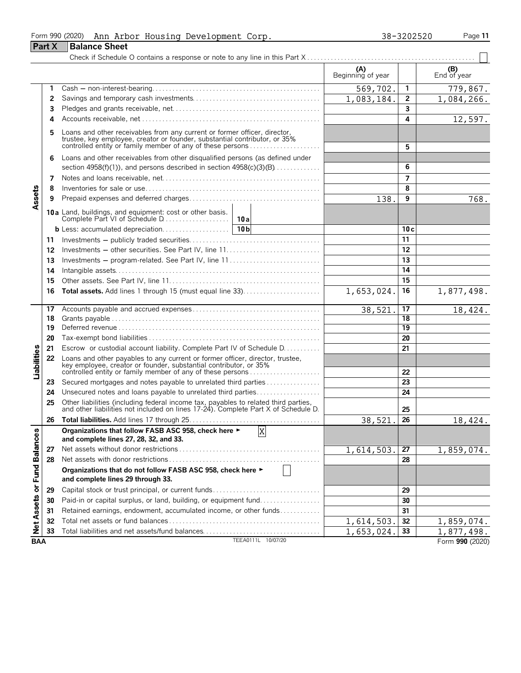|                      |               | Form 990 (2020) Ann Arbor Housing Development Corp.                                                                                                                                                                   |                    |                          | 38-3202520      | Page 11           |
|----------------------|---------------|-----------------------------------------------------------------------------------------------------------------------------------------------------------------------------------------------------------------------|--------------------|--------------------------|-----------------|-------------------|
|                      | <b>Part X</b> | <b>Balance Sheet</b>                                                                                                                                                                                                  |                    |                          |                 |                   |
|                      |               |                                                                                                                                                                                                                       |                    |                          |                 |                   |
|                      |               |                                                                                                                                                                                                                       |                    | (A)<br>Beginning of year |                 | $(B)$ End of year |
|                      | 1             |                                                                                                                                                                                                                       |                    | 569,702.                 | 1               | 779,867.          |
|                      | 2             |                                                                                                                                                                                                                       |                    | 1,083,184.               | $\mathbf{2}$    | 1,084,266.        |
|                      | 3             |                                                                                                                                                                                                                       |                    |                          | 3               |                   |
|                      | 4             |                                                                                                                                                                                                                       |                    |                          | 4               | 12,597.           |
|                      | 5             | Loans and other receivables from any current or former officer, director,<br>trustee, key employee, creator or founder, substantial contributor, or 35%<br>controlled entity or family member of any of these persons |                    | 5                        |                 |                   |
|                      | 6             | Loans and other receivables from other disqualified persons (as defined under                                                                                                                                         |                    |                          |                 |                   |
|                      |               | section 4958(f)(1)), and persons described in section $4958(c)(3)(B)$                                                                                                                                                 |                    |                          | 6               |                   |
|                      | 7             |                                                                                                                                                                                                                       |                    |                          | $\overline{7}$  |                   |
|                      | 8             |                                                                                                                                                                                                                       |                    |                          | 8               |                   |
| Assets               | 9             |                                                                                                                                                                                                                       |                    | 138.                     | 9               | 768.              |
|                      |               |                                                                                                                                                                                                                       |                    |                          |                 |                   |
|                      |               |                                                                                                                                                                                                                       |                    |                          | 10c             |                   |
|                      | 11            |                                                                                                                                                                                                                       |                    |                          | 11              |                   |
|                      | 12            |                                                                                                                                                                                                                       |                    |                          | 12              |                   |
|                      | 13            | Investments - program-related. See Part IV, line 11                                                                                                                                                                   |                    |                          | 13              |                   |
|                      | 14            |                                                                                                                                                                                                                       |                    |                          | 14              |                   |
|                      | 15            |                                                                                                                                                                                                                       |                    |                          | 15              |                   |
|                      | 16            |                                                                                                                                                                                                                       |                    | 1,653,024.               | 16              | 1,877,498.        |
|                      | 17            |                                                                                                                                                                                                                       |                    | 38,521                   | 17              | 18,424.           |
|                      | 18            |                                                                                                                                                                                                                       |                    |                          | $\overline{18}$ |                   |
|                      | 19            |                                                                                                                                                                                                                       |                    |                          | 19              |                   |
|                      | 20            |                                                                                                                                                                                                                       |                    |                          | 20              |                   |
|                      | 21            | Escrow or custodial account liability. Complete Part IV of Schedule D.                                                                                                                                                |                    |                          | 21              |                   |
| Liabilities          | 22            | Loans and other payables to any current or former officer, director, trustee, key employee, creator or founder, substantial contributor, or 35%<br>controlled entity or family member of any of these persons         |                    |                          | 22              |                   |
|                      | 23            | Secured mortgages and notes payable to unrelated third parties                                                                                                                                                        |                    |                          | 23              |                   |
|                      | 24            | Unsecured notes and loans payable to unrelated third parties                                                                                                                                                          |                    |                          | 24              |                   |
|                      | 25            | Other liabilities (including federal income tax, payables to related third parties, and other liabilities not included on lines 17-24). Complete Part X of Schedule D.                                                |                    | 25                       |                 |                   |
|                      | 26            |                                                                                                                                                                                                                       |                    | 38,521.                  | 26              | 18,424.           |
|                      |               | Organizations that follow FASB ASC 958, check here ►<br>and complete lines 27, 28, 32, and 33.                                                                                                                        | X                  |                          |                 |                   |
|                      | 27            |                                                                                                                                                                                                                       |                    | 1,614,503                | 27              | 1,859,074.        |
|                      | 28            |                                                                                                                                                                                                                       |                    |                          | 28              |                   |
| <b>Fund Balances</b> |               | Organizations that do not follow FASB ASC 958, check here ►<br>and complete lines 29 through 33.                                                                                                                      |                    |                          |                 |                   |
|                      | 29            | Capital stock or trust principal, or current funds                                                                                                                                                                    |                    |                          | 29              |                   |
|                      | 30            | Paid-in or capital surplus, or land, building, or equipment fund                                                                                                                                                      |                    |                          | 30              |                   |
|                      | 31            | Retained earnings, endowment, accumulated income, or other funds                                                                                                                                                      |                    |                          | 31              |                   |
| Net Assets or        | 32            |                                                                                                                                                                                                                       |                    | 1,614,503                | 32              | 1,859,074.        |
|                      | 33            |                                                                                                                                                                                                                       |                    | 1,653,024.               | 33              | 1,877,498.        |
| <b>BAA</b>           |               |                                                                                                                                                                                                                       | TEEA0111L 10/07/20 |                          |                 | Form 990 (2020)   |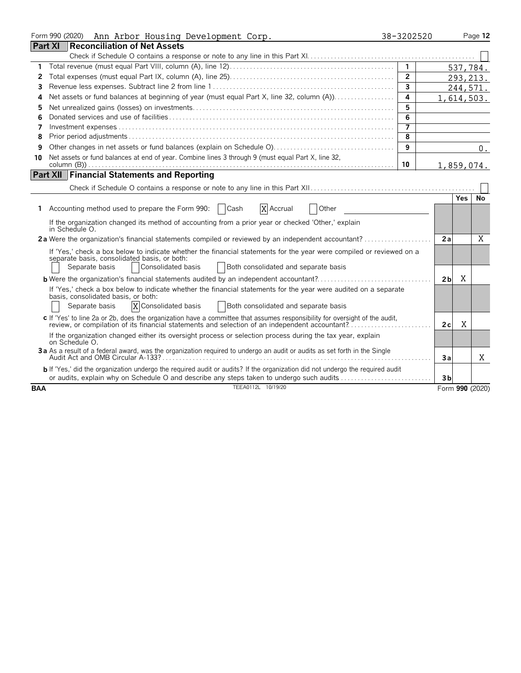|                | Form 990 (2020)<br>Ann Arbor Housing Development Corp.                                                                                                                                                                                               | 38-3202520     |                |       | Page 12         |
|----------------|------------------------------------------------------------------------------------------------------------------------------------------------------------------------------------------------------------------------------------------------------|----------------|----------------|-------|-----------------|
| <b>Part XI</b> | <b>Reconciliation of Net Assets</b>                                                                                                                                                                                                                  |                |                |       |                 |
|                |                                                                                                                                                                                                                                                      |                |                |       |                 |
| 1              |                                                                                                                                                                                                                                                      | $\overline{1}$ |                |       | 537,784.        |
| 2              |                                                                                                                                                                                                                                                      | $\overline{2}$ |                |       | 293, 213.       |
| 3              |                                                                                                                                                                                                                                                      | $\overline{3}$ |                |       | 244,571.        |
| 4              |                                                                                                                                                                                                                                                      | 4              |                |       | 1,614,503.      |
| 5              |                                                                                                                                                                                                                                                      | 5              |                |       |                 |
| 6              |                                                                                                                                                                                                                                                      | 6              |                |       |                 |
| 7              |                                                                                                                                                                                                                                                      | $\overline{7}$ |                |       |                 |
| 8              |                                                                                                                                                                                                                                                      | 8              |                |       |                 |
| 9              |                                                                                                                                                                                                                                                      | 9              |                |       | $0$ .           |
| 10             | Net assets or fund balances at end of year. Combine lines 3 through 9 (must equal Part X, line 32,                                                                                                                                                   |                |                |       |                 |
|                |                                                                                                                                                                                                                                                      | 10             |                |       | 1,859,074.      |
|                | <b>Part XII Financial Statements and Reporting</b>                                                                                                                                                                                                   |                |                |       |                 |
|                |                                                                                                                                                                                                                                                      |                |                |       |                 |
|                |                                                                                                                                                                                                                                                      |                |                | Yes I | No              |
|                | X Accrual<br>1 Accounting method used to prepare the Form 990:<br>  Cash<br>Other                                                                                                                                                                    |                |                |       |                 |
|                | If the organization changed its method of accounting from a prior year or checked 'Other,' explain<br>in Schedule O.                                                                                                                                 |                |                |       |                 |
|                | 2a Were the organization's financial statements compiled or reviewed by an independent accountant?                                                                                                                                                   |                | 2a             |       | X               |
|                | If 'Yes,' check a box below to indicate whether the financial statements for the year were compiled or reviewed on a<br>separate basis, consolidated basis, or both:<br>Separate basis<br>Consolidated basis<br>Both consolidated and separate basis |                |                |       |                 |
|                |                                                                                                                                                                                                                                                      |                | 2 <sub>b</sub> | X     |                 |
|                | If 'Yes,' check a box below to indicate whether the financial statements for the year were audited on a separate<br>basis, consolidated basis, or both:<br>X Consolidated basis<br>Separate basis<br>Both consolidated and separate basis            |                |                |       |                 |
|                | c If 'Yes' to line 2a or 2b, does the organization have a committee that assumes responsibility for oversight of the audit,<br>review, or compilation of its financial statements and selection of an independent accountant?                        |                | 2c             | X     |                 |
|                | If the organization changed either its oversight process or selection process during the tax year, explain<br>on Schedule O.                                                                                                                         |                |                |       |                 |
|                | 3a As a result of a federal award, was the organization required to undergo an audit or audits as set forth in the Single                                                                                                                            |                | 3a             |       | X               |
|                | <b>b</b> If 'Yes,' did the organization undergo the required audit or audits? If the organization did not undergo the required audit<br>or audits, explain why on Schedule O and describe any steps taken to undergo such audits                     |                | 3 <sub>b</sub> |       |                 |
| <b>BAA</b>     | TEEA0112L 10/19/20                                                                                                                                                                                                                                   |                |                |       | Form 990 (2020) |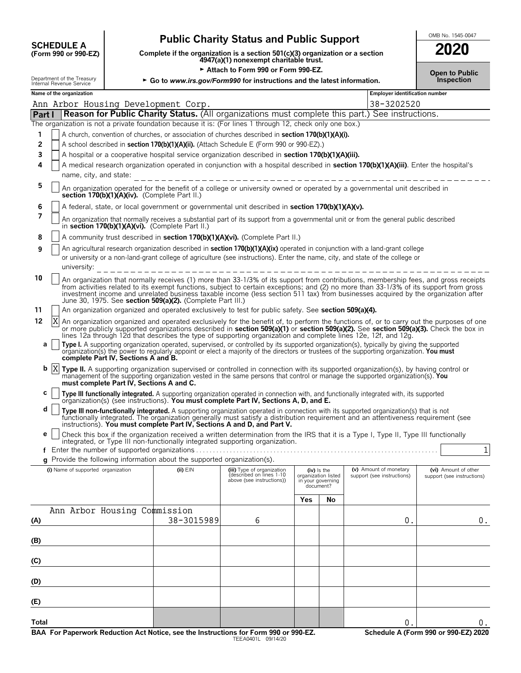| <b>SCHEDULE A</b>               |  |
|---------------------------------|--|
| $(F_{\alpha r}$ 990 or 990 $FZ$ |  |

# **Public Charity Status and Public Support SCHEDULE ACCHEDULE ACCHEDULE ACCHEDULE A**

**COMPOSCHEDULE A**<br>(Form 990 or 990-EZ) Complete if the organization is a section 501(c)(3) organization or a section<br>4947(a)(1) nonexempt charitable trust.

**Example 2011** Attach to Form 990 or Form 990-F7

|--|

| Allach lu Fuilli 990 UI Fuilli 990.<br>Department of the Treasury<br>► Go to www.irs.gov/Form990 for instructions and the latest information.<br>Internal Revenue Service |                                          |                                                                          |                                                                                                                |     |                                                                        | <b>Open to Public</b><br>Inspection                                                                                                                                                                                                                                                                                                                                                                                |                                                    |
|---------------------------------------------------------------------------------------------------------------------------------------------------------------------------|------------------------------------------|--------------------------------------------------------------------------|----------------------------------------------------------------------------------------------------------------|-----|------------------------------------------------------------------------|--------------------------------------------------------------------------------------------------------------------------------------------------------------------------------------------------------------------------------------------------------------------------------------------------------------------------------------------------------------------------------------------------------------------|----------------------------------------------------|
| Name of the organization                                                                                                                                                  |                                          |                                                                          |                                                                                                                |     |                                                                        | Employer identification number                                                                                                                                                                                                                                                                                                                                                                                     |                                                    |
| Ann Arbor Housing Development Corp.                                                                                                                                       |                                          |                                                                          |                                                                                                                |     |                                                                        | 38-3202520                                                                                                                                                                                                                                                                                                                                                                                                         |                                                    |
| <b>Part I</b>                                                                                                                                                             |                                          |                                                                          |                                                                                                                |     |                                                                        | <b>Reason for Public Charity Status.</b> (All organizations must complete this part.) See instructions.                                                                                                                                                                                                                                                                                                            |                                                    |
|                                                                                                                                                                           |                                          |                                                                          | The organization is not a private foundation because it is: (For lines 1 through 12, check only one box.)      |     |                                                                        |                                                                                                                                                                                                                                                                                                                                                                                                                    |                                                    |
| 1                                                                                                                                                                         |                                          |                                                                          | A church, convention of churches, or association of churches described in section 170(b)(1)(A)(i).             |     |                                                                        |                                                                                                                                                                                                                                                                                                                                                                                                                    |                                                    |
| 2                                                                                                                                                                         |                                          |                                                                          | A school described in section 170(b)(1)(A)(ii). (Attach Schedule E (Form 990 or 990-EZ).)                      |     |                                                                        |                                                                                                                                                                                                                                                                                                                                                                                                                    |                                                    |
| 3                                                                                                                                                                         |                                          |                                                                          | A hospital or a cooperative hospital service organization described in section 170(b)(1)(A)(iii).              |     |                                                                        |                                                                                                                                                                                                                                                                                                                                                                                                                    |                                                    |
| 4                                                                                                                                                                         |                                          |                                                                          |                                                                                                                |     |                                                                        | A medical research organization operated in conjunction with a hospital described in section 170(b)(1)(A)(iii). Enter the hospital's                                                                                                                                                                                                                                                                               |                                                    |
| name, city, and state:<br>5                                                                                                                                               |                                          |                                                                          |                                                                                                                |     |                                                                        | An organization operated for the benefit of a college or university owned or operated by a governmental unit described in                                                                                                                                                                                                                                                                                          |                                                    |
| 6                                                                                                                                                                         |                                          | section 170(b)(1)(A)(iv). (Complete Part II.)                            | A federal, state, or local government or governmental unit described in section 170(b)(1)(A)(v).               |     |                                                                        |                                                                                                                                                                                                                                                                                                                                                                                                                    |                                                    |
| 7                                                                                                                                                                         |                                          |                                                                          |                                                                                                                |     |                                                                        |                                                                                                                                                                                                                                                                                                                                                                                                                    |                                                    |
|                                                                                                                                                                           |                                          | in section 170(b)(1)(A)(vi). (Complete Part II.)                         |                                                                                                                |     |                                                                        | An organization that normally receives a substantial part of its support from a governmental unit or from the general public described                                                                                                                                                                                                                                                                             |                                                    |
| 8                                                                                                                                                                         |                                          |                                                                          | A community trust described in section 170(b)(1)(A)(vi). (Complete Part II.)                                   |     |                                                                        |                                                                                                                                                                                                                                                                                                                                                                                                                    |                                                    |
| 9<br>university:                                                                                                                                                          |                                          |                                                                          |                                                                                                                |     |                                                                        | An agricultural research organization described in section 170(b)(1)(A)(ix) operated in conjunction with a land-grant college<br>or university or a non-land-grant college of agriculture (see instructions). Enter the name, city, and state of the college or                                                                                                                                                    |                                                    |
| 10                                                                                                                                                                        |                                          | June 30, 1975. See section 509(a)(2). (Complete Part III.)               |                                                                                                                |     |                                                                        | An organization that normally receives (1) more than 33-1/3% of its support from contributions, membership fees, and gross receipts<br>from activities related to its exempt functions, subject to certain exceptions; and (2) no more than 33-1/3% of its support from gross<br>investment income and unrelated business taxable income (less section 511 tax) from businesses acquired by the organization after |                                                    |
| 11                                                                                                                                                                        |                                          |                                                                          | An organization organized and operated exclusively to test for public safety. See section 509(a)(4).           |     |                                                                        |                                                                                                                                                                                                                                                                                                                                                                                                                    |                                                    |
| 12<br>X                                                                                                                                                                   |                                          |                                                                          |                                                                                                                |     |                                                                        | An organization organized and operated exclusively for the benefit of, to perform the functions of, or to carry out the purposes of one                                                                                                                                                                                                                                                                            |                                                    |
|                                                                                                                                                                           |                                          |                                                                          | lines 12a through 12d that describes the type of supporting organization and complete lines 12e, 12f, and 12g. |     |                                                                        | or more publicly supported organizations described in section 509(a)(1) or section 509(a)(2). See section 509(a)(3). Check the box in                                                                                                                                                                                                                                                                              |                                                    |
| а                                                                                                                                                                         | complete Part IV, Sections A and B.      |                                                                          |                                                                                                                |     |                                                                        | Type I. A supporting organization operated, supervised, or controlled by its supported organization(s), typically by giving the supported<br>organization(s) the power to regularly appoint or elect a majority of the directors or trustees of the supporting organization. You must                                                                                                                              |                                                    |
| X<br>b                                                                                                                                                                    | must complete Part IV, Sections A and C. |                                                                          |                                                                                                                |     |                                                                        | Type II. A supporting organization supervised or controlled in connection with its supported organization(s), by having control or<br>management of the supporting organization vested in the same persons that control or manage the supported organization(s). You                                                                                                                                               |                                                    |
| с                                                                                                                                                                         |                                          |                                                                          | organization(s) (see instructions). You must complete Part IV, Sections A, D, and E.                           |     |                                                                        | Type III functionally integrated. A supporting organization operated in connection with, and functionally integrated with, its supported                                                                                                                                                                                                                                                                           |                                                    |
| d                                                                                                                                                                         |                                          |                                                                          | instructions). You must complete Part IV, Sections A and D, and Part V.                                        |     |                                                                        | Type III non-functionally integrated. A supporting organization operated in connection with its supported organization(s) that is not<br>functionally integrated. The organization generally must satisfy a distribution requirement and an attentiveness requirement (see                                                                                                                                         |                                                    |
| е                                                                                                                                                                         |                                          |                                                                          |                                                                                                                |     |                                                                        | Check this box if the organization received a written determination from the IRS that it is a Type I, Type II, Type III functionally                                                                                                                                                                                                                                                                               |                                                    |
|                                                                                                                                                                           |                                          |                                                                          | integrated, or Type III non-functionally integrated supporting organization.                                   |     |                                                                        |                                                                                                                                                                                                                                                                                                                                                                                                                    | 1                                                  |
|                                                                                                                                                                           |                                          | g Provide the following information about the supported organization(s). |                                                                                                                |     |                                                                        |                                                                                                                                                                                                                                                                                                                                                                                                                    |                                                    |
| (i) Name of supported organization                                                                                                                                        |                                          | $(ii)$ $EIN$                                                             | (iii) Type of organization<br>described on Tines 1-10<br>above (see instructions))                             |     | $(iv)$ is the<br>organization listed<br>in your governing<br>document? | (v) Amount of monetary<br>support (see instructions)                                                                                                                                                                                                                                                                                                                                                               | (vi) Amount of other<br>support (see instructions) |
|                                                                                                                                                                           |                                          |                                                                          |                                                                                                                | Yes | No                                                                     |                                                                                                                                                                                                                                                                                                                                                                                                                    |                                                    |
| Ann Arbor Housing Commission                                                                                                                                              |                                          |                                                                          |                                                                                                                |     |                                                                        |                                                                                                                                                                                                                                                                                                                                                                                                                    |                                                    |
| (A)                                                                                                                                                                       |                                          | 38-3015989                                                               | 6                                                                                                              |     |                                                                        | $\boldsymbol{0}$ .                                                                                                                                                                                                                                                                                                                                                                                                 | 0.                                                 |
| (B)                                                                                                                                                                       |                                          |                                                                          |                                                                                                                |     |                                                                        |                                                                                                                                                                                                                                                                                                                                                                                                                    |                                                    |
|                                                                                                                                                                           |                                          |                                                                          |                                                                                                                |     |                                                                        |                                                                                                                                                                                                                                                                                                                                                                                                                    |                                                    |
| (C)<br>(D)                                                                                                                                                                |                                          |                                                                          |                                                                                                                |     |                                                                        |                                                                                                                                                                                                                                                                                                                                                                                                                    |                                                    |
|                                                                                                                                                                           |                                          |                                                                          |                                                                                                                |     |                                                                        |                                                                                                                                                                                                                                                                                                                                                                                                                    |                                                    |
| (E)                                                                                                                                                                       |                                          |                                                                          |                                                                                                                |     |                                                                        |                                                                                                                                                                                                                                                                                                                                                                                                                    |                                                    |
| <b>Total</b>                                                                                                                                                              |                                          |                                                                          |                                                                                                                |     |                                                                        | 0.                                                                                                                                                                                                                                                                                                                                                                                                                 | $0$ .                                              |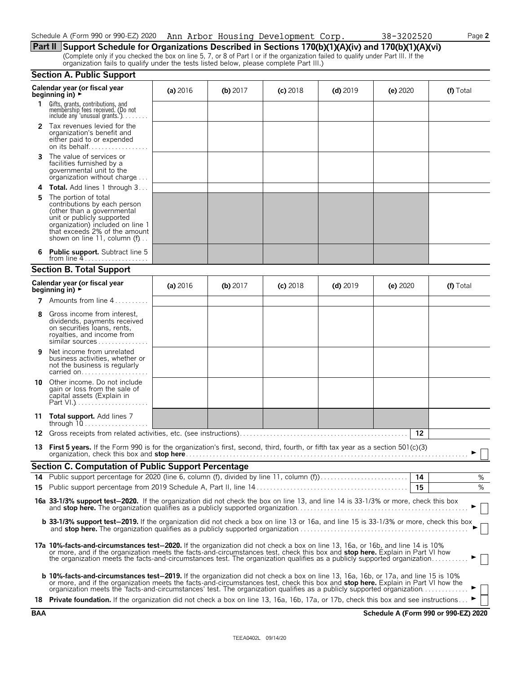| Schedule A (Form 990 or 990-EZ) 2020 | Ann Arbor Housing Development | <sup>-</sup> Corp. | 38-3202520 | $P$ aqe 2 |
|--------------------------------------|-------------------------------|--------------------|------------|-----------|
|                                      |                               |                    |            |           |
|                                      |                               |                    |            |           |

**Part II Support Schedule for Organizations Described in Sections 170(b)(1)(A)(iv) and 170(b)(1)(A)(vi)** (Complete only if you checked the box on line 5, 7, or 8 of Part I or if the organization failed to qualify under Part III. If the organization fails to qualify under the tests listed below, please complete Part III.)

| <b>Section A. Public Support</b> |  |  |
|----------------------------------|--|--|
|                                  |  |  |

|            | JECHUILA. I UDIIC JUPPULL                                                                                                                                                                                                                                                                                                                                                                                                                                                                                                                 |            |            |            |            |          |                                      |
|------------|-------------------------------------------------------------------------------------------------------------------------------------------------------------------------------------------------------------------------------------------------------------------------------------------------------------------------------------------------------------------------------------------------------------------------------------------------------------------------------------------------------------------------------------------|------------|------------|------------|------------|----------|--------------------------------------|
|            | Calendar year (or fiscal year<br>beginning in) $\rightarrow$                                                                                                                                                                                                                                                                                                                                                                                                                                                                              | (a) 2016   | (b) $2017$ | $(c)$ 2018 | $(d)$ 2019 | (e) 2020 | (f) Total                            |
|            | 1 Gifts, grants, contributions, and<br>membership fees received. (Do not<br>include any 'unusual grants.'). $\dots$                                                                                                                                                                                                                                                                                                                                                                                                                       |            |            |            |            |          |                                      |
| 2          | Tax revenues levied for the<br>organization's benefit and<br>either paid to or expended<br>on its behalf                                                                                                                                                                                                                                                                                                                                                                                                                                  |            |            |            |            |          |                                      |
| 3          | The value of services or<br>facilities furnished by a<br>governmental unit to the<br>organization without charge                                                                                                                                                                                                                                                                                                                                                                                                                          |            |            |            |            |          |                                      |
| 4          | <b>Total.</b> Add lines 1 through 3                                                                                                                                                                                                                                                                                                                                                                                                                                                                                                       |            |            |            |            |          |                                      |
| 5          | The portion of total<br>contributions by each person<br>(other than a governmental<br>unit or publicly supported<br>organization) included on line 1<br>that exceeds 2% of the amount<br>shown on line 11, column (f)                                                                                                                                                                                                                                                                                                                     |            |            |            |            |          |                                      |
|            | <b>Public support.</b> Subtract line 5<br>from line $4$                                                                                                                                                                                                                                                                                                                                                                                                                                                                                   |            |            |            |            |          |                                      |
|            | <b>Section B. Total Support</b>                                                                                                                                                                                                                                                                                                                                                                                                                                                                                                           |            |            |            |            |          |                                      |
|            | Calendar year (or fiscal year<br>beginning in) $\rightarrow$                                                                                                                                                                                                                                                                                                                                                                                                                                                                              | (a) $2016$ | (b) $2017$ | $(c)$ 2018 | $(d)$ 2019 | (e) 2020 | (f) Total                            |
| 7          | Amounts from line 4                                                                                                                                                                                                                                                                                                                                                                                                                                                                                                                       |            |            |            |            |          |                                      |
| 8          | Gross income from interest,<br>dividends, payments received<br>on securities loans, rents,<br>royalties, and income from<br>similar sources                                                                                                                                                                                                                                                                                                                                                                                               |            |            |            |            |          |                                      |
| 9          | Net income from unrelated<br>business activities, whether or<br>not the business is regularly<br>carried on                                                                                                                                                                                                                                                                                                                                                                                                                               |            |            |            |            |          |                                      |
|            | 10 Other income. Do not include<br>gain or loss from the sale of<br>capital assets (Explain in                                                                                                                                                                                                                                                                                                                                                                                                                                            |            |            |            |            |          |                                      |
| 11         | Total support. Add lines 7                                                                                                                                                                                                                                                                                                                                                                                                                                                                                                                |            |            |            |            |          |                                      |
|            |                                                                                                                                                                                                                                                                                                                                                                                                                                                                                                                                           |            |            |            |            | 12       |                                      |
| 13         | First 5 years. If the Form 990 is for the organization's first, second, third, fourth, or fifth tax year as a section 501(c)(3)                                                                                                                                                                                                                                                                                                                                                                                                           |            |            |            |            |          |                                      |
|            | <b>Section C. Computation of Public Support Percentage</b>                                                                                                                                                                                                                                                                                                                                                                                                                                                                                |            |            |            |            |          |                                      |
| 14         | Public support percentage for 2020 (line 6, column (f), divided by line 11, column (f)                                                                                                                                                                                                                                                                                                                                                                                                                                                    |            |            |            |            | 14       | ℅                                    |
| 15         |                                                                                                                                                                                                                                                                                                                                                                                                                                                                                                                                           |            |            |            |            | 15       | %                                    |
|            | 16a 33-1/3% support test-2020. If the organization did not check the box on line 13, and line 14 is 33-1/3% or more, check this box                                                                                                                                                                                                                                                                                                                                                                                                       |            |            |            |            |          |                                      |
|            | <b>b</b> 33-1/3% support test-2019. If the organization did not check a box on line 13 or 16a, and line 15 is 33-1/3% or more, check this box                                                                                                                                                                                                                                                                                                                                                                                             |            |            |            |            |          |                                      |
|            | 17a 10%-facts-and-circumstances test-2020. If the organization did not check a box on line 13, 16a, or 16b, and line 14 is 10%<br>or more, and if the organization meets the facts-and-circumstances test, check this box and stop here. Explain in Part VI how<br>the organization meets the facts-and-circumstances test. The organization qualifies as a publicly supported organization                                                                                                                                               |            |            |            |            |          |                                      |
|            | b 10%-facts-and-circumstances test-2019. If the organization did not check a box on line 13, 16a, 16b, or 17a, and line 15 is 10%<br>or more, and if the organization meets the facts-and-circumstances test, check this box and stop here. Explain in Part VI how the<br>organization meets the 'facts-and-circumstances' test. The organization qualifies as a publicly supported organization<br>18 Private foundation. If the organization did not check a box on line 13, 16a, 16b, 17a, or 17b, check this box and see instructions |            |            |            |            |          |                                      |
|            |                                                                                                                                                                                                                                                                                                                                                                                                                                                                                                                                           |            |            |            |            |          |                                      |
| <b>BAA</b> |                                                                                                                                                                                                                                                                                                                                                                                                                                                                                                                                           |            |            |            |            |          | Schedule A (Form 990 or 990-EZ) 2020 |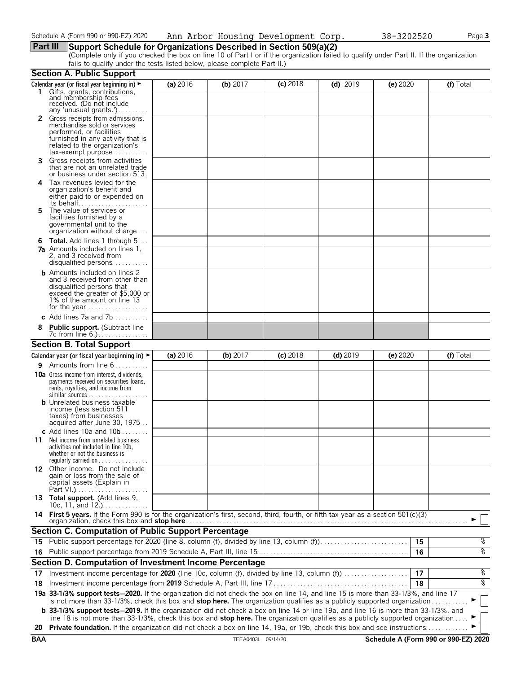# **Part III Support Schedule for Organizations Described in Section 509(a)(2)**

(Complete only if you checked the box on line 10 of Part I or if the organization failed to qualify under Part II. If the organization fails to qualify under the tests listed below, please complete Part II.)

|            | <b>Section A. Public Support</b>                                                                                                                                                                                                                                              |          |                    |            |            |          |                                      |
|------------|-------------------------------------------------------------------------------------------------------------------------------------------------------------------------------------------------------------------------------------------------------------------------------|----------|--------------------|------------|------------|----------|--------------------------------------|
|            | Calendar year (or fiscal year beginning in) ►                                                                                                                                                                                                                                 | (a) 2016 | (b) $2017$         | $(c)$ 2018 | $(d)$ 2019 | (e) 2020 | (f) Total                            |
|            | 1 Gifts, grants, contributions,<br>and membership fees<br>received. (Do not include<br>any 'unusual grants.')                                                                                                                                                                 |          |                    |            |            |          |                                      |
|            | 2 Gross receipts from admissions,<br>merchandise sold or services<br>performed, or facilities<br>furnished in any activity that is<br>related to the organization's<br>$tax\text{-}exempt$ purpose                                                                            |          |                    |            |            |          |                                      |
| 3.         | Gross receipts from activities<br>that are not an unrelated trade<br>or business under section 513.                                                                                                                                                                           |          |                    |            |            |          |                                      |
| 4          | Tax revenues levied for the<br>organization's benefit and<br>either paid to or expended on                                                                                                                                                                                    |          |                    |            |            |          |                                      |
| 5.         | The value of services or<br>facilities furnished by a<br>governmental unit to the<br>organization without charge                                                                                                                                                              |          |                    |            |            |          |                                      |
| 6          | <b>Total.</b> Add lines 1 through 5<br><b>7a</b> Amounts included on lines 1,<br>2, and 3 received from<br>disqualified persons                                                                                                                                               |          |                    |            |            |          |                                      |
|            | <b>b</b> Amounts included on lines 2<br>and 3 received from other than<br>disqualified persons that<br>exceed the greater of \$5,000 or<br>1% of the amount on line 13                                                                                                        |          |                    |            |            |          |                                      |
|            | c Add lines $7a$ and $7b$                                                                                                                                                                                                                                                     |          |                    |            |            |          |                                      |
|            | <b>Public support.</b> (Subtract line                                                                                                                                                                                                                                         |          |                    |            |            |          |                                      |
|            | <b>Section B. Total Support</b>                                                                                                                                                                                                                                               |          |                    |            |            |          |                                      |
|            | Calendar year (or fiscal year beginning in) $\blacktriangleright$                                                                                                                                                                                                             | (a) 2016 | (b) 2017           | $(c)$ 2018 | $(d)$ 2019 | (e) 2020 | (f) Total                            |
| 9.         | Amounts from line 6                                                                                                                                                                                                                                                           |          |                    |            |            |          |                                      |
|            | <b>10a</b> Gross income from interest, dividends,<br>payments received on securities loans,<br>rents, royalties, and income from<br><b>b</b> Unrelated business taxable<br>income (less section 511<br>taxes) from businesses                                                 |          |                    |            |            |          |                                      |
|            | acquired after June 30, 1975                                                                                                                                                                                                                                                  |          |                    |            |            |          |                                      |
| 11         | c Add lines 10a and $10b$<br>Net income from unrelated business<br>activities not included in line 10b,<br>whether or not the business is<br>regularly carried on $\dots\dots\dots\dots$                                                                                      |          |                    |            |            |          |                                      |
|            | 12 Other income. Do not include<br>gain or loss from the sale of<br>capital assets (Explain in                                                                                                                                                                                |          |                    |            |            |          |                                      |
|            | 13 Total support. (Add lines 9,<br>10c, 11, and $12$                                                                                                                                                                                                                          |          |                    |            |            |          |                                      |
|            | 14 First 5 years. If the Form 990 is for the organization's first, second, third, fourth, or fifth tax year as a section 501(c)(3)<br>organization, check this box and stop here                                                                                              |          |                    |            |            |          |                                      |
|            | <b>Section C. Computation of Public Support Percentage</b>                                                                                                                                                                                                                    |          |                    |            |            |          |                                      |
|            | 15 Public support percentage for 2020 (line 8, column (f), divided by line 13, column (f)                                                                                                                                                                                     |          |                    |            |            | 15       | န့                                   |
|            |                                                                                                                                                                                                                                                                               |          |                    |            |            | 16       | ०१०                                  |
|            | Section D. Computation of Investment Income Percentage                                                                                                                                                                                                                        |          |                    |            |            |          |                                      |
| 17         |                                                                                                                                                                                                                                                                               |          |                    |            |            | 17       | %                                    |
| 18         |                                                                                                                                                                                                                                                                               |          |                    |            |            | 18       | ०७                                   |
|            | 19a 33-1/3% support tests-2020. If the organization did not check the box on line 14, and line 15 is more than 33-1/3%, and line 17<br>is not more than 33-1/3%, check this box and stop here. The organization qualifies as a publicly supported organization                |          |                    |            |            |          |                                      |
|            | <b>b</b> 33-1/3% support tests-2019. If the organization did not check a box on line 14 or line 19a, and line 16 is more than 33-1/3%, and<br>line 18 is not more than 33-1/3%, check this box and stop here. The organization qualifies as a publicly supported organization |          |                    |            |            |          |                                      |
| 20         | Private foundation. If the organization did not check a box on line 14, 19a, or 19b, check this box and see instructions.                                                                                                                                                     |          |                    |            |            |          |                                      |
| <b>BAA</b> |                                                                                                                                                                                                                                                                               |          | TEEA0403L 09/14/20 |            |            |          | Schedule A (Form 990 or 990-EZ) 2020 |
|            |                                                                                                                                                                                                                                                                               |          |                    |            |            |          |                                      |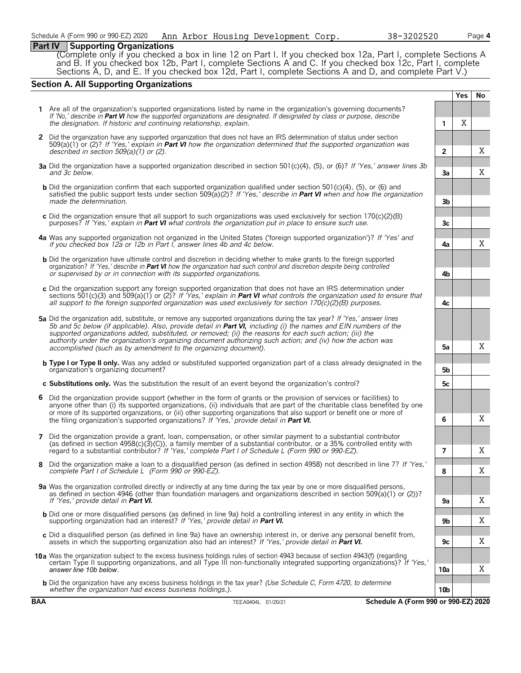# **Part IV Supporting Organizations**

(Complete only if you checked a box in line 12 on Part I. If you checked box 12a, Part I, complete Sections A and B. If you checked box 12b, Part I, complete Sections A and C. If you checked box 12c, Part I, complete Sections A, D, and E. If you checked box 12d, Part I, complete Sections A and D, and complete Part V.)

# **Section A. All Supporting Organizations**

|                                                                                                                                                                                                                                                                                                                                                                                                                                                                                                                                                      |                | Yes | No |
|------------------------------------------------------------------------------------------------------------------------------------------------------------------------------------------------------------------------------------------------------------------------------------------------------------------------------------------------------------------------------------------------------------------------------------------------------------------------------------------------------------------------------------------------------|----------------|-----|----|
| 1 Are all of the organization's supported organizations listed by name in the organization's governing documents?<br>If 'No,' describe in Part VI how the supported organizations are designated. If designated by class or purpose, describe<br>the designation. If historic and continuing relationship, explain.                                                                                                                                                                                                                                  | 1              | Χ   |    |
| 2 Did the organization have any supported organization that does not have an IRS determination of status under section<br>509(a)(1) or (2)? If 'Yes,' explain in <b>Part VI</b> how the organization determined that the supported organization was<br>described in section $509(a)(1)$ or (2).                                                                                                                                                                                                                                                      | $\mathbf{2}$   |     | Χ  |
| 3a Did the organization have a supported organization described in section 501(c)(4), (5), or (6)? If 'Yes,' answer lines 3b<br>and 3c below.                                                                                                                                                                                                                                                                                                                                                                                                        | 3a             |     | X  |
| <b>b</b> Did the organization confirm that each supported organization qualified under section 501(c)(4), (5), or (6) and<br>satisfied the public support tests under section 509(a)(2)? If 'Yes,' describe in Part VI when and how the organization<br>made the determination.                                                                                                                                                                                                                                                                      | 3b             |     |    |
| c Did the organization ensure that all support to such organizations was used exclusively for section $170(c)(2)$ (B)<br>purposes? If 'Yes,' explain in <b>Part VI</b> what controls the organization put in place to ensure such use.                                                                                                                                                                                                                                                                                                               | 3c             |     |    |
| 4a Was any supported organization not organized in the United States ('foreign supported organization')? If 'Yes' and<br>if you checked box 12a or 12b in Part I, answer lines 4b and 4c below.                                                                                                                                                                                                                                                                                                                                                      | 4a             |     | Χ  |
| <b>b</b> Did the organization have ultimate control and discretion in deciding whether to make grants to the foreign supported<br>organization? If 'Yes,' describe in Part VI how the organization had such control and discretion despite being controlled<br>or supervised by or in connection with its supported organizations.                                                                                                                                                                                                                   | 4b             |     |    |
| c Did the organization support any foreign supported organization that does not have an IRS determination under<br>sections 501(c)(3) and 509(a)(1) or (2)? If 'Yes,' explain in <b>Part VI</b> what controls the organization used to ensure that<br>all support to the foreign supported organization was used exclusively for section $170(c)(2)(B)$ purposes.                                                                                                                                                                                    | 4c             |     |    |
| 5a Did the organization add, substitute, or remove any supported organizations during the tax year? If 'Yes,' answer lines<br>5b and 5c below (if applicable). Also, provide detail in <b>Part VI</b> , including (i) the names and EIN numbers of the<br>supported organizations added, substituted, or removed; (ii) the reasons for each such action; (iii) the<br>authority under the organization's organizing document authorizing such action; and (iv) how the action was<br>accomplished (such as by amendment to the organizing document). | 5a             |     | Χ  |
| <b>b</b> Type I or Type II only. Was any added or substituted supported organization part of a class already designated in the<br>organization's organizing document?                                                                                                                                                                                                                                                                                                                                                                                | 5b             |     |    |
| c Substitutions only. Was the substitution the result of an event beyond the organization's control?                                                                                                                                                                                                                                                                                                                                                                                                                                                 | 5c             |     |    |
| 6 Did the organization provide support (whether in the form of grants or the provision of services or facilities) to<br>anyone other than (i) its supported organizations, (ii) individuals that are part of the charitable class benefited by one<br>or more of its supported organizations, or (iii) other supporting organizations that also support or benefit one or more of<br>the filing organization's supported organizations? If 'Yes,' provide detail in Part VI.                                                                         | 6              |     | Χ  |
| 7 Did the organization provide a grant, loan, compensation, or other similar payment to a substantial contributor<br>(as defined in section $4958(c)(3)(C)$ ), a family member of a substantial contributor, or a 35% controlled entity with<br>regard to a substantial contributor? If 'Yes,' complete Part I of Schedule L (Form 990 or 990-EZ).                                                                                                                                                                                                   | $\overline{7}$ |     | Χ  |
| 8 Did the organization make a loan to a disqualified person (as defined in section 4958) not described in line 7? If 'Yes,'<br>complete Part I of Schedule L (Form 990 or 990-EZ).                                                                                                                                                                                                                                                                                                                                                                   | 8              |     | Χ  |
| 9a Was the organization controlled directly or indirectly at any time during the tax year by one or more disqualified persons,<br>as defined in section 4946 (other than foundation managers and organizations described in section 509(a)(1) or (2))?<br>If 'Yes,' provide detail in Part VI.                                                                                                                                                                                                                                                       | 9а             |     | Χ  |
| <b>b</b> Did one or more disqualified persons (as defined in line 9a) hold a controlling interest in any entity in which the<br>supporting organization had an interest? If 'Yes,' provide detail in Part VI.                                                                                                                                                                                                                                                                                                                                        | 9b             |     | Χ  |
| c Did a disqualified person (as defined in line 9a) have an ownership interest in, or derive any personal benefit from,<br>assets in which the supporting organization also had an interest? If 'Yes,' provide detail in <b>Part VI.</b>                                                                                                                                                                                                                                                                                                             | 9с             |     | Χ  |
| 10a Was the organization subject to the excess business holdings rules of section 4943 because of section 4943(f) (regarding<br>certain Type II supporting organizations, and all Type III non-functionally integrated supporting organizations)? If 'Yes,'<br>answer line 10b below.                                                                                                                                                                                                                                                                | 10a            |     | Χ  |
| <b>b</b> Did the organization have any excess business holdings in the tax year? (Use Schedule C, Form 4720, to determine<br>whether the organization had excess business holdings.).                                                                                                                                                                                                                                                                                                                                                                | 10b            |     |    |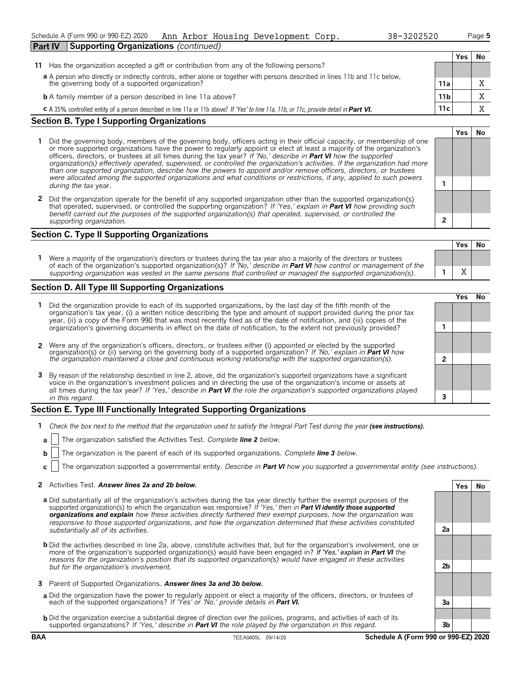| 38-3202520 |  |
|------------|--|
|------------|--|

**Yes No**

| <b>Part IV</b><br><b>Supporting Organizations (continued)</b>                                                                                                               |                 |     |    |  |  |  |
|-----------------------------------------------------------------------------------------------------------------------------------------------------------------------------|-----------------|-----|----|--|--|--|
|                                                                                                                                                                             |                 | Yes | Νo |  |  |  |
| Has the organization accepted a gift or contribution from any of the following persons?<br>11                                                                               |                 |     |    |  |  |  |
|                                                                                                                                                                             |                 |     |    |  |  |  |
| a A person who directly or indirectly controls, either alone or together with persons described in lines 11b and 11c below, the governing body of a supported organization? | 11a             |     | X  |  |  |  |
| <b>b</b> A family member of a person described in line 11a above?                                                                                                           | 11 <sub>b</sub> |     | X  |  |  |  |
| C A 35% controlled entity of a person described in line 11a or 11b above? If 'Yes' to line 11a, 11b, or 11c, provide detail in Part VI.                                     | 11c             |     | X  |  |  |  |

### **Section B. Type I Supporting Organizations**

- **1** Did the governing body, members of the governing body, officers acting in their official capacity, or membership of one or more supported organizations have the power to regularly appoint or elect at least a majority of the organization's officers, directors, or trustees at all times during the tax year? *If 'No,' describe in Part VI how the supported organization(s) effectively operated, supervised, or controlled the organization's activities. If the organization had more than one supported organization, describe how the powers to appoint and/or remove officers, directors, or trustees were allocated among the supported organizations and what conditions or restrictions, if any, applied to such powers* **1** *during the tax* year.
- **2** Did the organization operate for the benefit of any supported organization other than the supported organization(s) that operated, supervised, or controlled the supporting organization? *If 'Yes,' explain in Part VI how providing such benefit carried out the purposes of the supported organization(s) that operated, supervised, or controlled the supporting organization.* **2**

# **Section C. Type II Supporting Organizations**

**Yes No 1** Were a majority of the organization's directors or trustees during the tax year also a majority of the directors or trustees of each of the organization's supported organization(s)? *If 'No,' describe in Part VI how control or management of the supporting organization was vested in the same persons that controlled or managed the supported organization(s).* **1** X

# **Section D. All Type III Supporting Organizations**

|                                                                                                                                                                                                                                                                                                                                                                                       |  | res) |  |  |  |
|---------------------------------------------------------------------------------------------------------------------------------------------------------------------------------------------------------------------------------------------------------------------------------------------------------------------------------------------------------------------------------------|--|------|--|--|--|
| 1 Did the organization provide to each of its supported organizations, by the last day of the fifth month of the<br>organization's tax year, (i) a written notice describing the type and amount of support provided during the prior tax<br>year, (ii) a copy of the Form 990 that was most recently filed as of the date of notification, and (iii) copies of the                   |  |      |  |  |  |
| organization's governing documents in effect on the date of notification, to the extent not previously provided?                                                                                                                                                                                                                                                                      |  |      |  |  |  |
| 2 Were any of the organization's officers, directors, or trustees either (i) appointed or elected by the supported organization(s) or (ii) serving on the governing body of a supported organization? If 'No,' explain in Part                                                                                                                                                        |  |      |  |  |  |
| the organization maintained a close and continuous working relationship with the supported organization(s).                                                                                                                                                                                                                                                                           |  |      |  |  |  |
| 3 By reason of the relationship described in line 2, above, did the organization's supported organizations have a significant<br>voice in the organization's investment policies and in directing the use of the organization's income or assets at<br>all times during the tax year? If 'Yes,' describe in <b>Part VI</b> the role the organization's supported organizations played |  |      |  |  |  |
| in this regard.                                                                                                                                                                                                                                                                                                                                                                       |  |      |  |  |  |
|                                                                                                                                                                                                                                                                                                                                                                                       |  |      |  |  |  |

# **Section E. Type III Functionally Integrated Supporting Organizations**

- **1** *Check the box next to the method that the organization used to satisfy the Integral Part Test during the year (see instructions).*
- **a** The organization satisfied the Activities Test. *Complete line 2 below.*
- **b** The organization is the parent of each of its supported organizations. *Complete line 3 below.*
- **c** The organization supported a governmental entity. *Describe in Part VI how you supported a governmental entity (see instructions).*

### **2** Activities Test. *Answer lines 2a and 2b below.* **Yes No**

- **a** Did substantially all of the organization's activities during the tax year directly further the exempt purposes of the supported organization(s) to which the organization was responsive? *If 'Yes,' then in Part VI identify those supported organizations and explain how these activities directly furthered their exempt purposes, how the organization was responsive to those supported organizations, and how the organization determined that these activities constituted substantially all of its activities.* **2a**
- **b** Did the activities described in line 2a, above, constitute activities that, but for the organization's involvement, one or more of the organization's supported organization(s) would have been engaged in? *If 'Yes,' explain in Part VI the reasons for the organization's position that its supported organization(s) would have engaged in these activities but for the organization's involvement.* **2b**
- **3** Parent of Supported Organizations. *Answer lines 3a and 3b below.*
- **a** Did the organization have the power to regularly appoint or elect a majority of the officers, directors, or trustees of each of the supported organizations? *If 'Yes' or 'No,' provide details in Part VI.* **3a**
- **b** Did the organization exercise a substantial degree of direction over the policies, programs, and activities of each of its supported organizations? *If 'Yes,' describe in Part VI the role played by the organization in this regard.* **3b**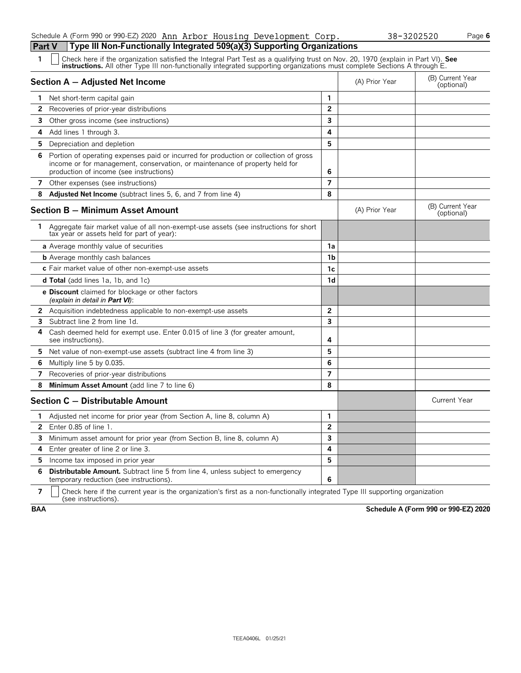# Schedule A (Form 990 or 990-EZ) 2020 Page **6** Ann Arbor Housing Development Corp. 38-3202520**Part V Type III Non-Functionally Integrated 509(a)(3) Supporting Organizations**

| 1            | Check here if the organization satisfied the Integral Part Test as a qualifying trust on Nov. 20, 1970 (explain in Part VI). See<br><b>instructions.</b> All other Type III non-functionally integrated supporting organizations must complete Sections A through E. |                         |                |                                |
|--------------|----------------------------------------------------------------------------------------------------------------------------------------------------------------------------------------------------------------------------------------------------------------------|-------------------------|----------------|--------------------------------|
|              | Section A - Adjusted Net Income                                                                                                                                                                                                                                      |                         | (A) Prior Year | (B) Current Year<br>(optional) |
| 1            | Net short-term capital gain                                                                                                                                                                                                                                          | 1                       |                |                                |
| $\mathbf{2}$ | Recoveries of prior-year distributions                                                                                                                                                                                                                               | $\overline{2}$          |                |                                |
| 3            | Other gross income (see instructions)                                                                                                                                                                                                                                | 3                       |                |                                |
| 4            | Add lines 1 through 3.                                                                                                                                                                                                                                               | 4                       |                |                                |
| 5.           | Depreciation and depletion                                                                                                                                                                                                                                           | 5                       |                |                                |
| 6            | Portion of operating expenses paid or incurred for production or collection of gross<br>income or for management, conservation, or maintenance of property held for<br>production of income (see instructions)                                                       | 6                       |                |                                |
|              | 7 Other expenses (see instructions)                                                                                                                                                                                                                                  | $\overline{7}$          |                |                                |
| 8            | <b>Adjusted Net Income</b> (subtract lines 5, 6, and 7 from line 4)                                                                                                                                                                                                  | 8                       |                |                                |
|              | Section B - Minimum Asset Amount                                                                                                                                                                                                                                     |                         | (A) Prior Year | (B) Current Year<br>(optional) |
|              | 1 Aggregate fair market value of all non-exempt-use assets (see instructions for short<br>tax year or assets held for part of year):                                                                                                                                 |                         |                |                                |
|              | a Average monthly value of securities                                                                                                                                                                                                                                | 1a                      |                |                                |
|              | <b>b</b> Average monthly cash balances                                                                                                                                                                                                                               | 1b                      |                |                                |
|              | c Fair market value of other non-exempt-use assets                                                                                                                                                                                                                   | 1c                      |                |                                |
|              | <b>d Total</b> (add lines 1a, 1b, and 1c)                                                                                                                                                                                                                            | 1d                      |                |                                |
|              | <b>e Discount</b> claimed for blockage or other factors<br>(explain in detail in <b>Part VI</b> ):                                                                                                                                                                   |                         |                |                                |
|              | <b>2</b> Acquisition indebtedness applicable to non-exempt-use assets                                                                                                                                                                                                | $\overline{2}$          |                |                                |
| 3            | Subtract line 2 from line 1d.                                                                                                                                                                                                                                        | $\overline{\mathbf{3}}$ |                |                                |
| 4            | Cash deemed held for exempt use. Enter 0.015 of line 3 (for greater amount,<br>see instructions).                                                                                                                                                                    | 4                       |                |                                |
| 5.           | Net value of non-exempt-use assets (subtract line 4 from line 3)                                                                                                                                                                                                     | 5                       |                |                                |
| 6            | Multiply line 5 by 0.035.                                                                                                                                                                                                                                            | 6                       |                |                                |
| 7            | Recoveries of prior-year distributions                                                                                                                                                                                                                               | $\overline{7}$          |                |                                |
| 8            | Minimum Asset Amount (add line 7 to line 6)                                                                                                                                                                                                                          | 8                       |                |                                |
|              | Section C - Distributable Amount                                                                                                                                                                                                                                     |                         |                | <b>Current Year</b>            |
| 1.           | Adjusted net income for prior year (from Section A, line 8, column A)                                                                                                                                                                                                | 1                       |                |                                |
| $\mathbf{2}$ | Enter 0.85 of line 1.                                                                                                                                                                                                                                                | $\overline{2}$          |                |                                |
| 3            | Minimum asset amount for prior year (from Section B, line 8, column A)                                                                                                                                                                                               | $\overline{3}$          |                |                                |
| 4            | Enter greater of line 2 or line 3.                                                                                                                                                                                                                                   | 4                       |                |                                |
| 5            | Income tax imposed in prior year                                                                                                                                                                                                                                     | 5                       |                |                                |
| 6            | <b>Distributable Amount.</b> Subtract line 5 from line 4, unless subject to emergency<br>temporary reduction (see instructions).                                                                                                                                     | 6                       |                |                                |

**7**  $\mid$  Check here if the current year is the organization's first as a non-functionally integrated Type III supporting organization (see instructions).

**BAA Schedule A (Form 990 or 990-EZ) 2020**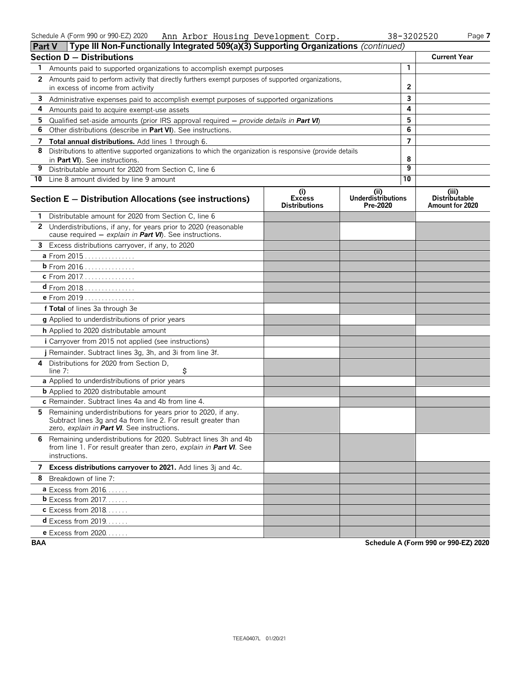|    | Type III Non-Functionally Integrated 509(a)(3) Supporting Organizations (continued)<br><b>Part V</b>                                                                          |                                              |                                              |                 |                                                  |
|----|-------------------------------------------------------------------------------------------------------------------------------------------------------------------------------|----------------------------------------------|----------------------------------------------|-----------------|--------------------------------------------------|
|    | <b>Section D - Distributions</b>                                                                                                                                              |                                              |                                              |                 | <b>Current Year</b>                              |
| 1  | Amounts paid to supported organizations to accomplish exempt purposes                                                                                                         |                                              |                                              | $\mathbf{1}$    |                                                  |
| 2  | Amounts paid to perform activity that directly furthers exempt purposes of supported organizations,<br>in excess of income from activity                                      |                                              | 2                                            |                 |                                                  |
| 3  | Administrative expenses paid to accomplish exempt purposes of supported organizations                                                                                         |                                              | 3                                            |                 |                                                  |
| 4  | Amounts paid to acquire exempt-use assets                                                                                                                                     |                                              | 4                                            |                 |                                                  |
| 5  | Qualified set-aside amounts (prior IRS approval required $-$ provide details in <b>Part VI</b> )                                                                              |                                              |                                              | 5               |                                                  |
| 6  | Other distributions (describe in Part VI). See instructions.                                                                                                                  |                                              |                                              | 6               |                                                  |
| 7  | Total annual distributions. Add lines 1 through 6.                                                                                                                            |                                              |                                              | $\overline{7}$  |                                                  |
| 8  | Distributions to attentive supported organizations to which the organization is responsive (provide details<br>in Part VI). See instructions.                                 |                                              |                                              | 8               |                                                  |
| 9  | Distributable amount for 2020 from Section C, line 6                                                                                                                          |                                              |                                              | 9               |                                                  |
|    | 10 Line 8 amount divided by line 9 amount                                                                                                                                     |                                              |                                              | $\overline{10}$ |                                                  |
|    | Section E - Distribution Allocations (see instructions)                                                                                                                       | (i)<br><b>Excess</b><br><b>Distributions</b> | (i)<br><b>Underdistributions</b><br>Pre-2020 |                 | (iii)<br><b>Distributable</b><br>Amount for 2020 |
|    | Distributable amount for 2020 from Section C, line 6                                                                                                                          |                                              |                                              |                 |                                                  |
|    | 2 Underdistributions, if any, for years prior to 2020 (reasonable<br>cause required - explain in Part VI). See instructions.                                                  |                                              |                                              |                 |                                                  |
|    | 3 Excess distributions carryover, if any, to 2020                                                                                                                             |                                              |                                              |                 |                                                  |
|    | a From 2015                                                                                                                                                                   |                                              |                                              |                 |                                                  |
|    | <b>b</b> From 2016                                                                                                                                                            |                                              |                                              |                 |                                                  |
|    | c From 2017.                                                                                                                                                                  |                                              |                                              |                 |                                                  |
|    | $d$ From 2018                                                                                                                                                                 |                                              |                                              |                 |                                                  |
|    | e From 2019                                                                                                                                                                   |                                              |                                              |                 |                                                  |
|    | f Total of lines 3a through 3e                                                                                                                                                |                                              |                                              |                 |                                                  |
|    | g Applied to underdistributions of prior years                                                                                                                                |                                              |                                              |                 |                                                  |
|    | h Applied to 2020 distributable amount                                                                                                                                        |                                              |                                              |                 |                                                  |
|    | i Carryover from 2015 not applied (see instructions)                                                                                                                          |                                              |                                              |                 |                                                  |
|    | j Remainder. Subtract lines 3g, 3h, and 3i from line 3f.                                                                                                                      |                                              |                                              |                 |                                                  |
| 4  | Distributions for 2020 from Section D.<br>\$<br>line 7:                                                                                                                       |                                              |                                              |                 |                                                  |
|    | a Applied to underdistributions of prior years                                                                                                                                |                                              |                                              |                 |                                                  |
|    | <b>b</b> Applied to 2020 distributable amount                                                                                                                                 |                                              |                                              |                 |                                                  |
|    | c Remainder. Subtract lines 4a and 4b from line 4.                                                                                                                            |                                              |                                              |                 |                                                  |
| 5. | Remaining underdistributions for years prior to 2020, if any.<br>Subtract lines 3g and 4a from line 2. For result greater than<br>zero, explain in Part VI. See instructions. |                                              |                                              |                 |                                                  |
|    | 6 Remaining underdistributions for 2020. Subtract lines 3h and 4b<br>from line 1. For result greater than zero, explain in Part VI. See<br>instructions.                      |                                              |                                              |                 |                                                  |
|    | 7 Excess distributions carryover to 2021. Add lines 3j and 4c.                                                                                                                |                                              |                                              |                 |                                                  |
|    | 8 Breakdown of line 7:                                                                                                                                                        |                                              |                                              |                 |                                                  |
|    | <b>a</b> Excess from 2016                                                                                                                                                     |                                              |                                              |                 |                                                  |
|    | <b>b</b> Excess from 2017.                                                                                                                                                    |                                              |                                              |                 |                                                  |
|    | <b>c</b> Excess from 2018                                                                                                                                                     |                                              |                                              |                 |                                                  |
|    | $d$ Excess from 2019.                                                                                                                                                         |                                              |                                              |                 |                                                  |
|    | <b>e</b> Excess from 2020.                                                                                                                                                    |                                              |                                              |                 |                                                  |

**BAA Schedule A (Form 990 or 990-EZ) 2020**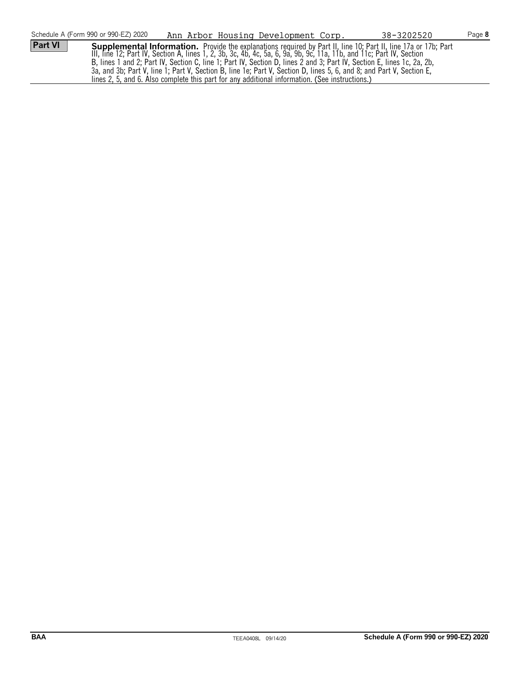|                | Schedule A (Form 990 or 990-EZ) 2020                                                                                   |  | Ann Arbor Housing Development Corp. |  | 38-3202520                                                                                                           | Page 8 |
|----------------|------------------------------------------------------------------------------------------------------------------------|--|-------------------------------------|--|----------------------------------------------------------------------------------------------------------------------|--------|
| <b>Part VI</b> |                                                                                                                        |  |                                     |  | Supplemental Information. Provide the explanations required by Part II, line 10; Part II, line 17a or 17b; Part      |        |
|                |                                                                                                                        |  |                                     |  | III, line 12; Part IV, Section A, lines 1, 2, 3b, 3c, 4b, 4c, 5a, 6, 9a, 9b, 9c, 11a, 11b, and 11c; Part IV, Section |        |
|                | B, lines 1 and 2; Part IV, Section C, line 1; Part IV, Section D, lines 2 and 3; Part IV, Section E, lines 1c, 2a, 2b, |  |                                     |  |                                                                                                                      |        |
|                |                                                                                                                        |  |                                     |  | 3a, and 3b; Part V, line 1; Part V, Section B, line 1e; Part V, Section D, lines 5, 6, and 8; and Part V, Section E, |        |
|                | lines 2, 5, and 6. Also complete this part for any additional information. (See instructions.)                         |  |                                     |  |                                                                                                                      |        |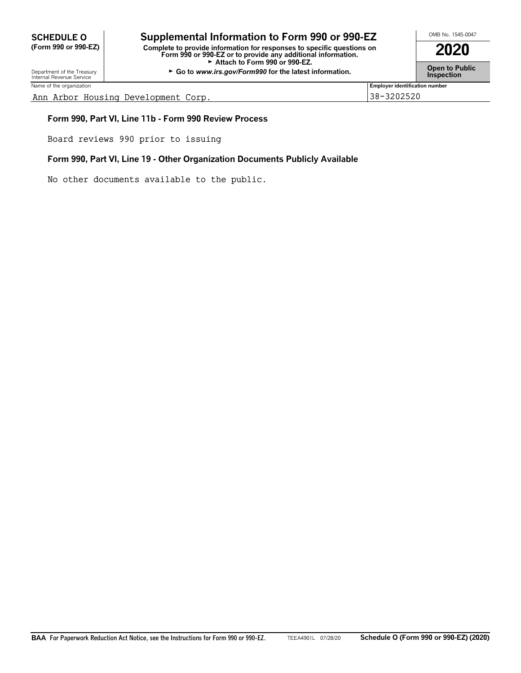**SCHEDULE O Supplemental Information to Form 990 or 990-EZ** <br>
Complete the provide information for response to the provide and information on **2020 (Form 990 or 990-EZ) Complete to provide information for responses to specific questions on Form 990 or 990-EZ or to provide any additional information. 2020** Attach to Form 990 or 990-EZ.

Department of the Treasury **Constant Comment of the Collam Constant Constant Constant Comment of the Inspection<br>Internal Revenue Service <b>Inspection** 

Name of the organization **Employer identification number Employer identification number Employer identification number** 

Ann Arbor Housing Development Corp. 38-3202520

# **Form 990, Part VI, Line 11b - Form 990 Review Process**

Board reviews 990 prior to issuing

# **Form 990, Part VI, Line 19 - Other Organization Documents Publicly Available**

No other documents available to the public.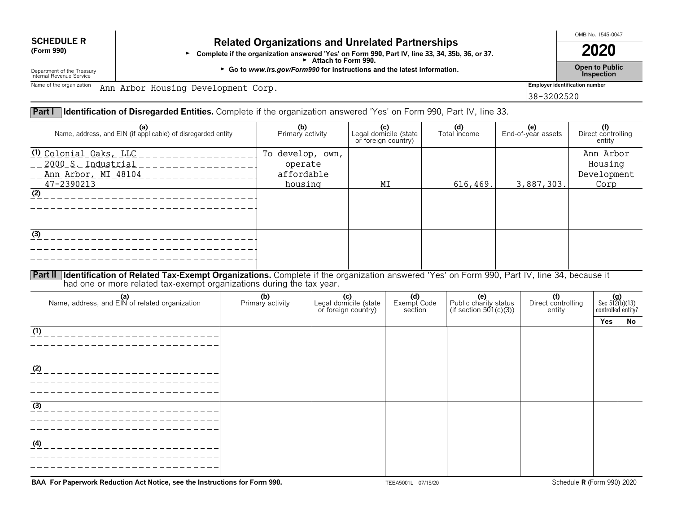# **SCHEDULE R Related Organizations and Unrelated Partnerships**<br>(Form 990) **Related Organizations and Unrelated Partnerships**

**Exercice or garm answered 'Yes' on Form 990, Part IV, line 33, 34, 35b, 36, or 37. 2020**<br>**2020 10. Part IV, line 33, 34, 35b, 36, or 37. 2020** Attach to Form 990.

Department of the Treasury **Company of the Treasury Constant of the Treasury <b>for instructions** and the latest information.<br>Internal Revenue Service **for inspection** Department of the Treasury **Inspection**<br>Internal Revenue Service **Inspection**<br>Internal Revenue Service **Inspection** 

OMB No. 1545-0047

38-3202520

Name of the organization **Ann Arbor Housing Development Corp.** The second of the organization **and the second of the second of the second of the second of the second of the second of the second of the second of the second** 

# **Part I Identification of Disregarded Entities.** Complete if the organization answered 'Yes' on Form 990, Part IV, line 33.

| (a)<br>Name, address, and EIN (if applicable) of disregarded entity                                                                                                                              | (b)<br>Primary activity                              | $\begin{array}{c} \text{(c)} \\ \text{Legal domicile (state)} \end{array}$<br>or foreign country) | (d)<br>Total income | <b>(e)</b><br>End-of-year assets | (f)<br>Direct controlling<br>entity         |
|--------------------------------------------------------------------------------------------------------------------------------------------------------------------------------------------------|------------------------------------------------------|---------------------------------------------------------------------------------------------------|---------------------|----------------------------------|---------------------------------------------|
| <u>(1) Colonial Oaks, LLC</u><br>2000 S. Industrial<br><u>Ann Arbor, MI 48104</u><br>47-2390213<br>(2)                                                                                           | To develop, own,<br>operate<br>affordable<br>housing | MΙ                                                                                                | 616,469.            | 3,887,303.                       | Ann Arbor<br>Housing<br>Development<br>Corp |
| (3)<br>$\overline{P}$ , if $\overline{P}$ , if $\overline{P}$ , $\overline{P}$ , $\overline{P}$ , $\overline{P}$ , $\overline{P}$ , $\overline{P}$ , $\overline{P}$<br>$\sim$ $\sim$ $\sim$<br>. | $\sim$ $\sim$ $\sim$ $\sim$ $\sim$ $\sim$ $\sim$     | $\sim$ $\sim$                                                                                     | $\cdots$            | $\cdots$<br>$\sim$ $\sim$ $\sim$ |                                             |

**Part II Identification of Related Tax-Exempt Organizations.** Complete if the organization answered 'Yes' on Form 990, Part IV, line 34, because it had one or more related tax-exempt organizations during the tax year.

| (b)<br>Primary activity | Legal domicile (state<br>or foreign country) | (d)<br>Exempt Code<br>section | (e)<br>Public charity status<br>(if section 501(c)(3)) | (f)<br>Direct controlling<br>entity | $(g)$<br>Sec 512(b)(13)<br>controlled entity? |    |
|-------------------------|----------------------------------------------|-------------------------------|--------------------------------------------------------|-------------------------------------|-----------------------------------------------|----|
|                         |                                              |                               |                                                        |                                     | Yes                                           | No |
|                         |                                              |                               |                                                        |                                     |                                               |    |
|                         |                                              |                               |                                                        |                                     |                                               |    |
|                         |                                              |                               |                                                        |                                     |                                               |    |
|                         |                                              |                               |                                                        |                                     |                                               |    |
|                         |                                              |                               |                                                        |                                     |                                               |    |
|                         |                                              |                               |                                                        |                                     |                                               |    |
|                         |                                              |                               |                                                        |                                     |                                               |    |
|                         |                                              |                               |                                                        |                                     |                                               |    |
|                         |                                              |                               |                                                        |                                     |                                               |    |
|                         |                                              |                               |                                                        |                                     |                                               |    |
|                         |                                              |                               |                                                        |                                     |                                               |    |
|                         |                                              |                               |                                                        |                                     |                                               |    |
|                         |                                              |                               |                                                        |                                     |                                               |    |

**BAA For Paperwork Reduction Act Notice, see the Instructions for Form 990.** TEEA5001L 07/15/20 TEEA5001L 07/15/20 Schedule **R** (Form 990) 2020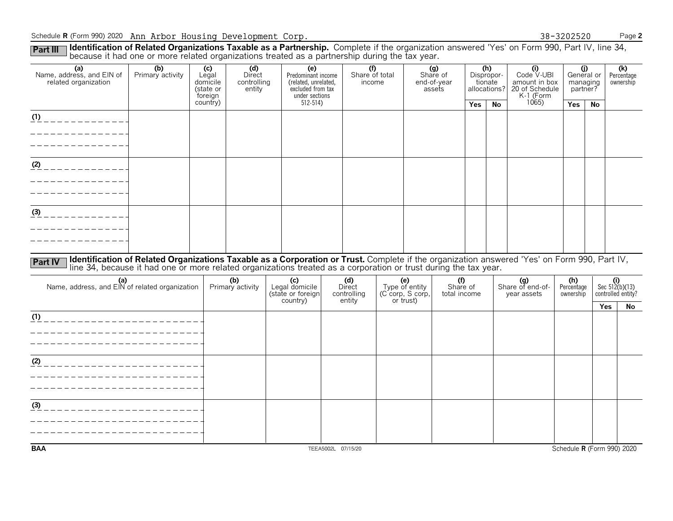Schedule **R** (Form 990) 2020 Page **2** Ann Arbor Housing Development Corp. 38-3202520

Part III I **Identification of Related Organizations Taxable as a Partnership.** Complete if the organization answered 'Yes' on Form 990, Part IV, line 34,<br>because it had one or more related organizations treated as a partne

| (a)<br>Name, address, and EIN of<br>related organization | (b)<br>Primary activity                                                                                                                                                                                                                                          | (c)<br>Legal<br>domicile<br>(state or<br>foreign | (d)<br>Direct<br>controlling<br>entity | (e)<br>Predominant income<br>(related, unrelated,<br>excluded from tax<br>under sections | $\overline{(\text{f})}$<br>Share of total<br>income |                       | (g)<br>Share of<br>end-of-year<br>assets |            | (h)<br>Dispropor-<br>tionate<br>allocations? | (i)<br>Code V-UBI<br>amount in box<br>20 of Schedule<br>K-1 (Form | managing<br>partner?    | (j)<br>General or | (k)<br>Percentage<br>ownership |
|----------------------------------------------------------|------------------------------------------------------------------------------------------------------------------------------------------------------------------------------------------------------------------------------------------------------------------|--------------------------------------------------|----------------------------------------|------------------------------------------------------------------------------------------|-----------------------------------------------------|-----------------------|------------------------------------------|------------|----------------------------------------------|-------------------------------------------------------------------|-------------------------|-------------------|--------------------------------|
|                                                          |                                                                                                                                                                                                                                                                  | country)                                         |                                        | $512 - 514$                                                                              |                                                     |                       |                                          | <b>Yes</b> | <b>No</b>                                    | 1065                                                              | Yes                     | No                |                                |
| $(1)$ _ _ _ _ _ _ _ _ _ _ _ _ _                          |                                                                                                                                                                                                                                                                  |                                                  |                                        |                                                                                          |                                                     |                       |                                          |            |                                              |                                                                   |                         |                   |                                |
|                                                          |                                                                                                                                                                                                                                                                  |                                                  |                                        |                                                                                          |                                                     |                       |                                          |            |                                              |                                                                   |                         |                   |                                |
|                                                          |                                                                                                                                                                                                                                                                  |                                                  |                                        |                                                                                          |                                                     |                       |                                          |            |                                              |                                                                   |                         |                   |                                |
| $(2)$ _ _ _ _ _ _ _ _ _ _ _ _                            |                                                                                                                                                                                                                                                                  |                                                  |                                        |                                                                                          |                                                     |                       |                                          |            |                                              |                                                                   |                         |                   |                                |
|                                                          |                                                                                                                                                                                                                                                                  |                                                  |                                        |                                                                                          |                                                     |                       |                                          |            |                                              |                                                                   |                         |                   |                                |
|                                                          |                                                                                                                                                                                                                                                                  |                                                  |                                        |                                                                                          |                                                     |                       |                                          |            |                                              |                                                                   |                         |                   |                                |
|                                                          |                                                                                                                                                                                                                                                                  |                                                  |                                        |                                                                                          |                                                     |                       |                                          |            |                                              |                                                                   |                         |                   |                                |
| $\frac{(3)}{2}$ - - - - - - - - - - - -                  |                                                                                                                                                                                                                                                                  |                                                  |                                        |                                                                                          |                                                     |                       |                                          |            |                                              |                                                                   |                         |                   |                                |
|                                                          |                                                                                                                                                                                                                                                                  |                                                  |                                        |                                                                                          |                                                     |                       |                                          |            |                                              |                                                                   |                         |                   |                                |
|                                                          |                                                                                                                                                                                                                                                                  |                                                  |                                        |                                                                                          |                                                     |                       |                                          |            |                                              |                                                                   |                         |                   |                                |
|                                                          |                                                                                                                                                                                                                                                                  |                                                  |                                        |                                                                                          |                                                     |                       |                                          |            |                                              |                                                                   |                         |                   |                                |
| <b>Part IV</b>                                           | Identification of Related Organizations Taxable as a Corporation or Trust. Complete if the organization answered 'Yes' on Form 990, Part IV,<br>line 34, because it had one or more related organizations treated as a corporation or trust during the tax year. |                                                  |                                        |                                                                                          |                                                     |                       |                                          |            |                                              |                                                                   |                         |                   |                                |
| (a)<br>Name, address, and EIN of related organization    |                                                                                                                                                                                                                                                                  |                                                  | (b)                                    | (c)<br>Legal domicile                                                                    | (d)<br>Direct                                       | (e)<br>Type of entity | (f)                                      |            |                                              | (g)<br>Share of end-of-                                           | (h)                     |                   | (i)<br>Sec $512(b)(13)$        |
|                                                          |                                                                                                                                                                                                                                                                  |                                                  | Primary activity                       | (state or foreign                                                                        | controlling                                         | (C corp, S corp,      | Share of<br>total income                 |            |                                              | year assets                                                       | Percentage<br>ownership |                   | controlled entity?             |
|                                                          |                                                                                                                                                                                                                                                                  |                                                  |                                        | country)                                                                                 | entity                                              | or trust)             |                                          |            |                                              |                                                                   |                         | Yes               | No                             |
|                                                          |                                                                                                                                                                                                                                                                  |                                                  |                                        |                                                                                          |                                                     |                       |                                          |            |                                              |                                                                   |                         |                   |                                |
| ______________________                                   |                                                                                                                                                                                                                                                                  |                                                  |                                        |                                                                                          |                                                     |                       |                                          |            |                                              |                                                                   |                         |                   |                                |
| _ _ _ _ _ _ _ _ _ _ _ _ _ _ _ _ _ _                      |                                                                                                                                                                                                                                                                  |                                                  |                                        |                                                                                          |                                                     |                       |                                          |            |                                              |                                                                   |                         |                   |                                |
| (2)                                                      |                                                                                                                                                                                                                                                                  |                                                  |                                        |                                                                                          |                                                     |                       |                                          |            |                                              |                                                                   |                         |                   |                                |
|                                                          |                                                                                                                                                                                                                                                                  |                                                  |                                        |                                                                                          |                                                     |                       |                                          |            |                                              |                                                                   |                         |                   |                                |
|                                                          |                                                                                                                                                                                                                                                                  |                                                  |                                        |                                                                                          |                                                     |                       |                                          |            |                                              |                                                                   |                         |                   |                                |
| (3)                                                      |                                                                                                                                                                                                                                                                  |                                                  |                                        |                                                                                          |                                                     |                       |                                          |            |                                              |                                                                   |                         |                   |                                |
|                                                          |                                                                                                                                                                                                                                                                  |                                                  |                                        |                                                                                          |                                                     |                       |                                          |            |                                              |                                                                   |                         |                   |                                |
|                                                          |                                                                                                                                                                                                                                                                  |                                                  |                                        |                                                                                          |                                                     |                       |                                          |            |                                              |                                                                   |                         |                   |                                |
|                                                          |                                                                                                                                                                                                                                                                  |                                                  |                                        |                                                                                          |                                                     |                       |                                          |            |                                              |                                                                   |                         |                   |                                |
| <b>BAA</b>                                               |                                                                                                                                                                                                                                                                  |                                                  |                                        |                                                                                          | TEEA5002L 07/15/20                                  |                       |                                          |            |                                              |                                                                   |                         |                   | Schedule R (Form 990) 2020     |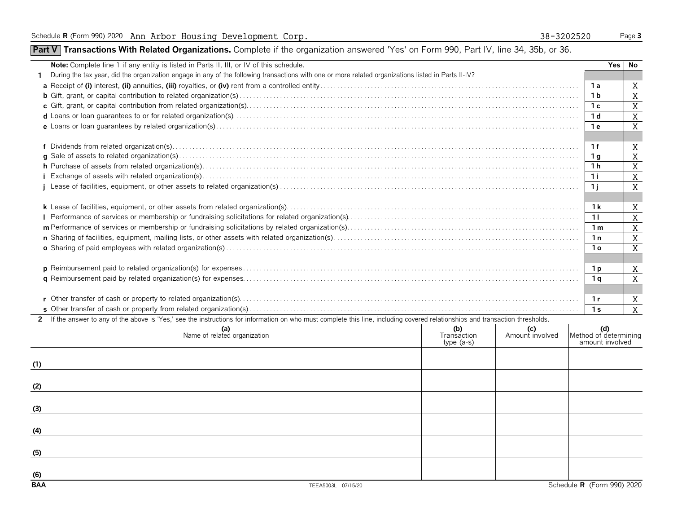**(5)**

**(6)**

# **Part V** Transactions With Related Organizations. Complete if the organization answered 'Yes' on Form 990, Part IV, line 34, 35b, or 36.

| Note: Complete line 1 if any entity is listed in Parts II, III, or IV of this schedule.                                                                                        |                                   |                        |                | No<br>Yes                                   |                |  |  |  |  |  |
|--------------------------------------------------------------------------------------------------------------------------------------------------------------------------------|-----------------------------------|------------------------|----------------|---------------------------------------------|----------------|--|--|--|--|--|
| During the tax year, did the organization engage in any of the following transactions with one or more related organizations listed in Parts II-IV?                            |                                   |                        |                |                                             |                |  |  |  |  |  |
|                                                                                                                                                                                |                                   |                        | 1а             |                                             | Χ              |  |  |  |  |  |
|                                                                                                                                                                                |                                   |                        | 1 <sub>b</sub> |                                             | X              |  |  |  |  |  |
|                                                                                                                                                                                |                                   |                        | 1 c            |                                             | X              |  |  |  |  |  |
|                                                                                                                                                                                |                                   |                        |                |                                             |                |  |  |  |  |  |
|                                                                                                                                                                                |                                   |                        | 1 e            |                                             | X              |  |  |  |  |  |
|                                                                                                                                                                                |                                   |                        |                |                                             |                |  |  |  |  |  |
|                                                                                                                                                                                |                                   |                        | 1 f            |                                             | X              |  |  |  |  |  |
|                                                                                                                                                                                |                                   |                        |                |                                             |                |  |  |  |  |  |
|                                                                                                                                                                                |                                   |                        | 1 h            |                                             | X              |  |  |  |  |  |
|                                                                                                                                                                                |                                   |                        | 1 i            |                                             | X              |  |  |  |  |  |
|                                                                                                                                                                                |                                   |                        | 1j             |                                             | X              |  |  |  |  |  |
|                                                                                                                                                                                |                                   |                        |                |                                             |                |  |  |  |  |  |
|                                                                                                                                                                                |                                   |                        | 1 k            |                                             | X<br>X         |  |  |  |  |  |
|                                                                                                                                                                                |                                   |                        |                |                                             |                |  |  |  |  |  |
|                                                                                                                                                                                |                                   |                        |                |                                             |                |  |  |  |  |  |
|                                                                                                                                                                                |                                   |                        |                |                                             |                |  |  |  |  |  |
|                                                                                                                                                                                |                                   |                        |                |                                             |                |  |  |  |  |  |
|                                                                                                                                                                                |                                   |                        |                |                                             |                |  |  |  |  |  |
|                                                                                                                                                                                |                                   |                        | 1 p            |                                             | X              |  |  |  |  |  |
|                                                                                                                                                                                |                                   |                        | 1 g            |                                             | X              |  |  |  |  |  |
|                                                                                                                                                                                |                                   |                        |                |                                             |                |  |  |  |  |  |
|                                                                                                                                                                                |                                   |                        | 1 r            |                                             | X              |  |  |  |  |  |
|                                                                                                                                                                                |                                   |                        | 1 <sub>s</sub> |                                             | $\overline{X}$ |  |  |  |  |  |
| 2 If the answer to any of the above is 'Yes,' see the instructions for information on who must complete this line, including covered relationships and transaction thresholds. |                                   |                        |                |                                             |                |  |  |  |  |  |
| (a)<br>Name of related organization                                                                                                                                            | (b)<br>Transaction<br>$type(a-s)$ | (c)<br>Amount involved |                | $M$ ethod of determining<br>amount involved |                |  |  |  |  |  |
|                                                                                                                                                                                |                                   |                        |                |                                             |                |  |  |  |  |  |
| (1)                                                                                                                                                                            |                                   |                        |                |                                             |                |  |  |  |  |  |
|                                                                                                                                                                                |                                   |                        |                |                                             |                |  |  |  |  |  |
| (2)                                                                                                                                                                            |                                   |                        |                |                                             |                |  |  |  |  |  |
|                                                                                                                                                                                |                                   |                        |                |                                             |                |  |  |  |  |  |
| (3)                                                                                                                                                                            |                                   |                        |                |                                             |                |  |  |  |  |  |
| (4)                                                                                                                                                                            |                                   |                        |                |                                             |                |  |  |  |  |  |
|                                                                                                                                                                                |                                   |                        |                |                                             |                |  |  |  |  |  |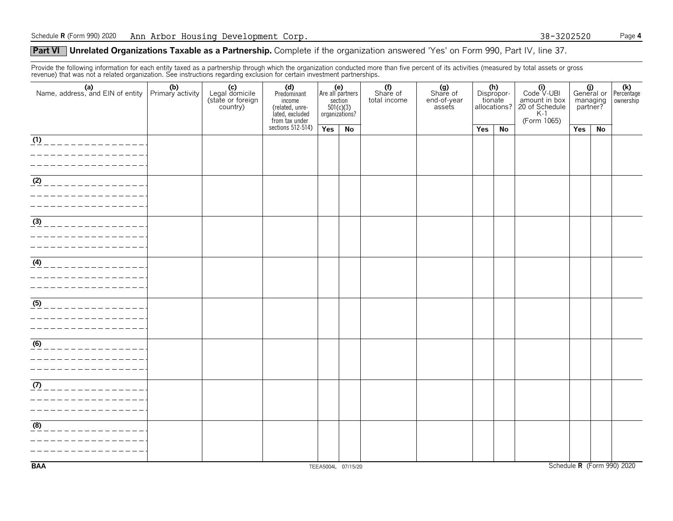# **Part VI** Unrelated Organizations Taxable as a Partnership. Complete if the organization answered 'Yes' on Form 990, Part IV, line 37.

Provide the following information for each entity taxed as a partnership through which the organization conducted more than five percent of its activities (measured by total assets or gross revenue) that was not a related organization. See instructions regarding exclusion for certain investment partnerships.

| (a) (b)<br>Name, address, and EIN of entity Primary activity                                                                | (c)<br>Legal domicile<br>(state or foreign<br>country) | (d)<br>Predominant<br>income<br>(related, unre-<br>lated, excluded<br>from tax under |                    |    | (e)<br>Are all partners<br>section<br>501(c)(3)<br>organizations? |  | (f)<br>Share of<br>total income | (g)<br>Share of<br>end-of-year<br>assets |  | (h)<br>Dispropor-<br>tionate<br>allocations? | $\begin{array}{c} \textbf{(i)} \\ \text{Code V-UBI} \\ \text{amount in box} \\ \text{20 of Schedule} \\ \text{K-1.} \\ \text{C} \end{array}$<br>(Form 1065) | General or Percentage<br>managing<br>partner? |  | ownership |
|-----------------------------------------------------------------------------------------------------------------------------|--------------------------------------------------------|--------------------------------------------------------------------------------------|--------------------|----|-------------------------------------------------------------------|--|---------------------------------|------------------------------------------|--|----------------------------------------------|-------------------------------------------------------------------------------------------------------------------------------------------------------------|-----------------------------------------------|--|-----------|
|                                                                                                                             |                                                        | sections $512-514$ )                                                                 | Yes                | No |                                                                   |  | <b>Yes</b>                      | No                                       |  | Yes                                          | No                                                                                                                                                          |                                               |  |           |
| (1)<br>. _ _ _ _ _ _ _ _ _ _ _ _ _ _ .                                                                                      |                                                        |                                                                                      |                    |    |                                                                   |  |                                 |                                          |  |                                              |                                                                                                                                                             |                                               |  |           |
| $\sqrt{(2)}$<br>______________                                                                                              |                                                        |                                                                                      |                    |    |                                                                   |  |                                 |                                          |  |                                              |                                                                                                                                                             |                                               |  |           |
| $\frac{(3)}{2}$<br>. _ _ _ _ _ _ _ _ _ _ _ _ _ _                                                                            |                                                        |                                                                                      |                    |    |                                                                   |  |                                 |                                          |  |                                              |                                                                                                                                                             |                                               |  |           |
| $(4)$ _ _ _ _ _ _ _ _ _ _ _ _ _ _ _ _                                                                                       |                                                        |                                                                                      |                    |    |                                                                   |  |                                 |                                          |  |                                              |                                                                                                                                                             |                                               |  |           |
| $\underline{(5)}$ _ _ _ _ _ _ _ _ _ _ _ _ _ _ _ _<br>_ _ _ _ _ _ _ _ _ _ _ _ _ _ _ _ _<br>_ _ _ _ _ _ _ _ _ _ _ _ _ _ _ _ _ |                                                        |                                                                                      |                    |    |                                                                   |  |                                 |                                          |  |                                              |                                                                                                                                                             |                                               |  |           |
| <u>___________________</u>                                                                                                  |                                                        |                                                                                      |                    |    |                                                                   |  |                                 |                                          |  |                                              |                                                                                                                                                             |                                               |  |           |
| (7)<br>______________                                                                                                       |                                                        |                                                                                      |                    |    |                                                                   |  |                                 |                                          |  |                                              |                                                                                                                                                             |                                               |  |           |
| (8)<br>____________                                                                                                         |                                                        |                                                                                      |                    |    |                                                                   |  |                                 |                                          |  |                                              |                                                                                                                                                             |                                               |  |           |
| <b>BAA</b>                                                                                                                  |                                                        |                                                                                      | TEEA5004L 07/15/20 |    |                                                                   |  |                                 |                                          |  |                                              |                                                                                                                                                             | Schedule R (Form 990) 2020                    |  |           |